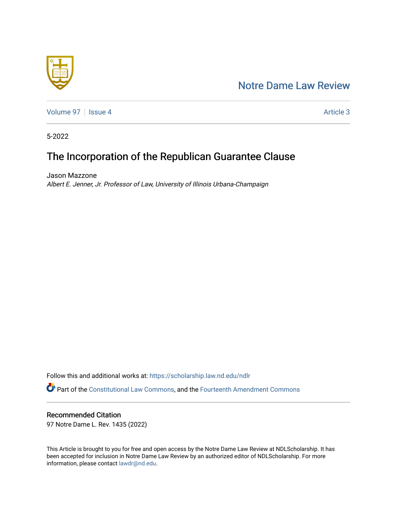# [Notre Dame Law Review](https://scholarship.law.nd.edu/ndlr)



[Volume 97](https://scholarship.law.nd.edu/ndlr/vol97) | [Issue 4](https://scholarship.law.nd.edu/ndlr/vol97/iss4) Article 3

5-2022

# The Incorporation of the Republican Guarantee Clause

Jason Mazzone Albert E. Jenner, Jr. Professor of Law, University of Illinois Urbana-Champaign

Follow this and additional works at: [https://scholarship.law.nd.edu/ndlr](https://scholarship.law.nd.edu/ndlr?utm_source=scholarship.law.nd.edu%2Fndlr%2Fvol97%2Fiss4%2F3&utm_medium=PDF&utm_campaign=PDFCoverPages) Part of the [Constitutional Law Commons,](https://network.bepress.com/hgg/discipline/589?utm_source=scholarship.law.nd.edu%2Fndlr%2Fvol97%2Fiss4%2F3&utm_medium=PDF&utm_campaign=PDFCoverPages) and the [Fourteenth Amendment Commons](https://network.bepress.com/hgg/discipline/1116?utm_source=scholarship.law.nd.edu%2Fndlr%2Fvol97%2Fiss4%2F3&utm_medium=PDF&utm_campaign=PDFCoverPages) 

## Recommended Citation

97 Notre Dame L. Rev. 1435 (2022)

This Article is brought to you for free and open access by the Notre Dame Law Review at NDLScholarship. It has been accepted for inclusion in Notre Dame Law Review by an authorized editor of NDLScholarship. For more information, please contact [lawdr@nd.edu.](mailto:lawdr@nd.edu)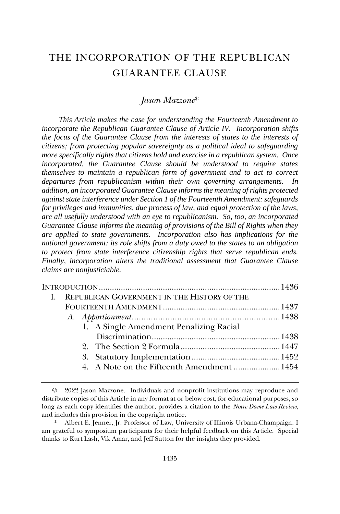# THE INCORPORATION OF THE REPUBLICAN GUARANTEE CLAUSE

### *Jason Mazzone*\*

*This Article makes the case for understanding the Fourteenth Amendment to incorporate the Republican Guarantee Clause of Article IV. Incorporation shifts the focus of the Guarantee Clause from the interests of states to the interests of citizens; from protecting popular sovereignty as a political ideal to safeguarding more specifically rights that citizens hold and exercise in a republican system. Once incorporated, the Guarantee Clause should be understood to require states themselves to maintain a republican form of government and to act to correct departures from republicanism within their own governing arrangements. In addition, an incorporated Guarantee Clause informs the meaning of rights protected against state interference under Section 1 of the Fourteenth Amendment: safeguards for privileges and immunities, due process of law, and equal protection of the laws, are all usefully understood with an eye to republicanism. So, too, an incorporated Guarantee Clause informs the meaning of provisions of the Bill of Rights when they are applied to state governments. Incorporation also has implications for the national government: its role shifts from a duty owed to the states to an obligation to protect from state interference citizenship rights that serve republican ends. Finally, incorporation alters the traditional assessment that Guarantee Clause claims are nonjusticiable.* 

| I. REPUBLICAN GOVERNMENT IN THE HISTORY OF THE |  |
|------------------------------------------------|--|
|                                                |  |
|                                                |  |
| 1. A Single Amendment Penalizing Racial        |  |
|                                                |  |
|                                                |  |
|                                                |  |
| 4. A Note on the Fifteenth Amendment 1454      |  |
|                                                |  |

<sup>©</sup> 2022 Jason Mazzone. Individuals and nonprofit institutions may reproduce and distribute copies of this Article in any format at or below cost, for educational purposes, so long as each copy identifies the author, provides a citation to the *Notre Dame Law Review*, and includes this provision in the copyright notice.

Albert E. Jenner, Jr. Professor of Law, University of Illinois Urbana-Champaign. I am grateful to symposium participants for their helpful feedback on this Article. Special thanks to Kurt Lash, Vik Amar, and Jeff Sutton for the insights they provided.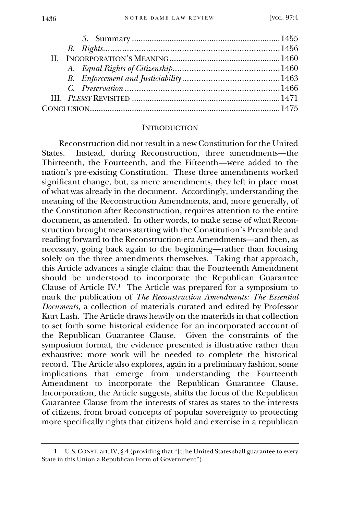#### **INTRODUCTION**

Reconstruction did not result in a new Constitution for the United States. Instead, during Reconstruction, three amendments—the Thirteenth, the Fourteenth, and the Fifteenth—were added to the nation's pre-existing Constitution. These three amendments worked significant change, but, as mere amendments, they left in place most of what was already in the document. Accordingly, understanding the meaning of the Reconstruction Amendments, and, more generally, of the Constitution after Reconstruction, requires attention to the entire document, as amended. In other words, to make sense of what Reconstruction brought means starting with the Constitution's Preamble and reading forward to the Reconstruction-era Amendments—and then, as necessary, going back again to the beginning—rather than focusing solely on the three amendments themselves. Taking that approach, this Article advances a single claim: that the Fourteenth Amendment should be understood to incorporate the Republican Guarantee Clause of Article IV.<sup>1</sup> The Article was prepared for a symposium to mark the publication of *The Reconstruction Amendments: The Essential Documents*, a collection of materials curated and edited by Professor Kurt Lash. The Article draws heavily on the materials in that collection to set forth some historical evidence for an incorporated account of the Republican Guarantee Clause. Given the constraints of the symposium format, the evidence presented is illustrative rather than exhaustive: more work will be needed to complete the historical record. The Article also explores, again in a preliminary fashion, some implications that emerge from understanding the Fourteenth Amendment to incorporate the Republican Guarantee Clause. Incorporation, the Article suggests, shifts the focus of the Republican Guarantee Clause from the interests of states as states to the interests of citizens, from broad concepts of popular sovereignty to protecting more specifically rights that citizens hold and exercise in a republican

<sup>1</sup> U.S.CONST. art. IV, § 4 (providing that "[t]he United States shall guarantee to every State in this Union a Republican Form of Government").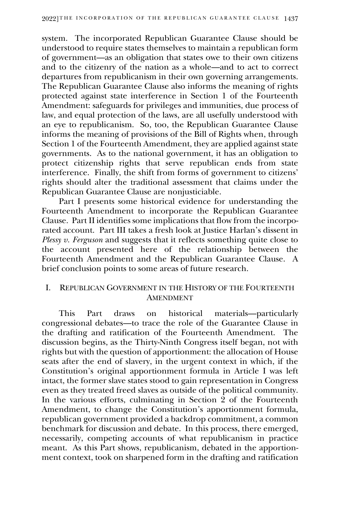system. The incorporated Republican Guarantee Clause should be understood to require states themselves to maintain a republican form of government—as an obligation that states owe to their own citizens and to the citizenry of the nation as a whole—and to act to correct departures from republicanism in their own governing arrangements. The Republican Guarantee Clause also informs the meaning of rights protected against state interference in Section 1 of the Fourteenth Amendment: safeguards for privileges and immunities, due process of law, and equal protection of the laws, are all usefully understood with an eye to republicanism. So, too, the Republican Guarantee Clause informs the meaning of provisions of the Bill of Rights when, through Section 1 of the Fourteenth Amendment, they are applied against state governments. As to the national government, it has an obligation to protect citizenship rights that serve republican ends from state interference. Finally, the shift from forms of government to citizens' rights should alter the traditional assessment that claims under the Republican Guarantee Clause are nonjusticiable.

Part I presents some historical evidence for understanding the Fourteenth Amendment to incorporate the Republican Guarantee Clause. Part II identifies some implications that flow from the incorporated account. Part III takes a fresh look at Justice Harlan's dissent in *Plessy v. Ferguson* and suggests that it reflects something quite close to the account presented here of the relationship between the Fourteenth Amendment and the Republican Guarantee Clause. A brief conclusion points to some areas of future research.

### I. REPUBLICAN GOVERNMENT IN THE HISTORY OF THE FOURTEENTH AMENDMENT

This Part draws on historical materials—particularly congressional debates—to trace the role of the Guarantee Clause in the drafting and ratification of the Fourteenth Amendment. The discussion begins, as the Thirty-Ninth Congress itself began, not with rights but with the question of apportionment: the allocation of House seats after the end of slavery, in the urgent context in which, if the Constitution's original apportionment formula in Article I was left intact, the former slave states stood to gain representation in Congress even as they treated freed slaves as outside of the political community. In the various efforts, culminating in Section  $\hat{2}$  of the Fourteenth Amendment, to change the Constitution's apportionment formula, republican government provided a backdrop commitment, a common benchmark for discussion and debate. In this process, there emerged, necessarily, competing accounts of what republicanism in practice meant. As this Part shows, republicanism, debated in the apportionment context, took on sharpened form in the drafting and ratification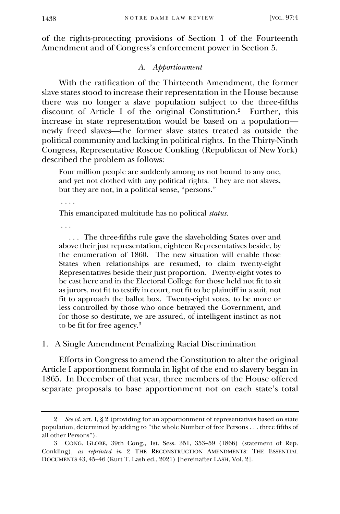of the rights-protecting provisions of Section 1 of the Fourteenth Amendment and of Congress's enforcement power in Section 5.

#### *A. Apportionment*

With the ratification of the Thirteenth Amendment, the former slave states stood to increase their representation in the House because there was no longer a slave population subject to the three-fifths discount of Article I of the original Constitution.<sup>2</sup> Further, this increase in state representation would be based on a population newly freed slaves—the former slave states treated as outside the political community and lacking in political rights. In the Thirty-Ninth Congress, Representative Roscoe Conkling (Republican of New York) described the problem as follows:

Four million people are suddenly among us not bound to any one, and yet not clothed with any political rights. They are not slaves, but they are not, in a political sense, "persons."

. . . .

This emancipated multitude has no political *status.*

. . .

 . . . The three-fifths rule gave the slaveholding States over and above their just representation, eighteen Representatives beside, by the enumeration of 1860. The new situation will enable those States when relationships are resumed, to claim twenty-eight Representatives beside their just proportion. Twenty-eight votes to be cast here and in the Electoral College for those held not fit to sit as jurors, not fit to testify in court, not fit to be plaintiff in a suit, not fit to approach the ballot box. Twenty-eight votes, to be more or less controlled by those who once betrayed the Government, and for those so destitute, we are assured, of intelligent instinct as not to be fit for free agency.<sup>3</sup>

1. A Single Amendment Penalizing Racial Discrimination

Efforts in Congress to amend the Constitution to alter the original Article I apportionment formula in light of the end to slavery began in 1865. In December of that year, three members of the House offered separate proposals to base apportionment not on each state's total

<sup>2</sup> *See id.* art. I, § 2 (providing for an apportionment of representatives based on state population, determined by adding to "the whole Number of free Persons . . . three fifths of all other Persons").

<sup>3</sup> CONG. GLOBE, 39th Cong., 1st. Sess. 351, 353–59 (1866) (statement of Rep. Conkling), *as reprinted in* 2 THE RECONSTRUCTION AMENDMENTS: THE ESSENTIAL DOCUMENTS 43, 45–46 (Kurt T. Lash ed., 2021) [hereinafter LASH, Vol. 2].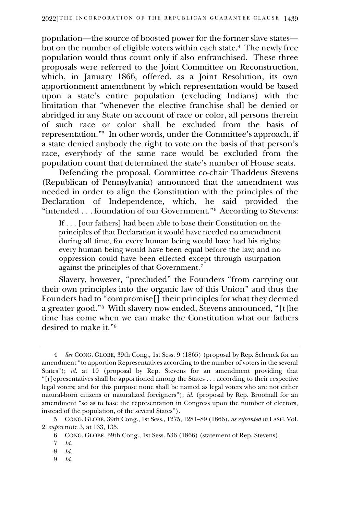population—the source of boosted power for the former slave states but on the number of eligible voters within each state.<sup>4</sup> The newly free population would thus count only if also enfranchised. These three proposals were referred to the Joint Committee on Reconstruction, which, in January 1866, offered, as a Joint Resolution, its own apportionment amendment by which representation would be based upon a state's entire population (excluding Indians) with the limitation that "whenever the elective franchise shall be denied or abridged in any State on account of race or color, all persons therein of such race or color shall be excluded from the basis of representation."<sup>5</sup> In other words, under the Committee's approach, if a state denied anybody the right to vote on the basis of that person's race, everybody of the same race would be excluded from the population count that determined the state's number of House seats.

Defending the proposal, Committee co-chair Thaddeus Stevens (Republican of Pennsylvania) announced that the amendment was needed in order to align the Constitution with the principles of the Declaration of Independence, which, he said provided the "intended . . . foundation of our Government."<sup>6</sup> According to Stevens:

If . . . [our fathers] had been able to base their Constitution on the principles of that Declaration it would have needed no amendment during all time, for every human being would have had his rights; every human being would have been equal before the law; and no oppression could have been effected except through usurpation against the principles of that Government.<sup>7</sup>

Slavery, however, "precluded" the Founders "from carrying out their own principles into the organic law of this Union" and thus the Founders had to "compromise<sup>[]</sup> their principles for what they deemed a greater good."<sup>8</sup> With slavery now ended, Stevens announced, "[t]he time has come when we can make the Constitution what our fathers desired to make it."<sup>9</sup>

9 *Id.*

<sup>4</sup> *See* CONG. GLOBE, 39th Cong., 1st Sess. 9 (1865) (proposal by Rep. Schenck for an amendment "to apportion Representatives according to the number of voters in the several States"); *id.* at 10 (proposal by Rep. Stevens for an amendment providing that "[r]epresentatives shall be apportioned among the States . . . according to their respective legal voters; and for this purpose none shall be named as legal voters who are not either natural-born citizens or naturalized foreigners"); *id.* (proposal by Rep. Broomall for an amendment "so as to base the representation in Congress upon the number of electors, instead of the population, of the several States").

<sup>5</sup> CONG. GLOBE, 39th Cong., 1st Sess., 1275, 1281–89 (1866), *as reprinted in* LASH, Vol. 2, *supra* note 3, at 133, 135.

<sup>6</sup> CONG. GLOBE, 39th Cong., 1st Sess. 536 (1866) (statement of Rep. Stevens).

<sup>7</sup> *Id.*

<sup>8</sup> *Id.*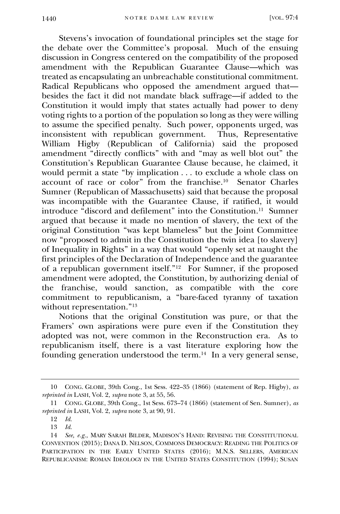Stevens's invocation of foundational principles set the stage for the debate over the Committee's proposal. Much of the ensuing discussion in Congress centered on the compatibility of the proposed amendment with the Republican Guarantee Clause—which was treated as encapsulating an unbreachable constitutional commitment. Radical Republicans who opposed the amendment argued that besides the fact it did not mandate black suffrage—if added to the Constitution it would imply that states actually had power to deny voting rights to a portion of the population so long as they were willing to assume the specified penalty. Such power, opponents urged, was inconsistent with republican government. Thus, Representative William Higby (Republican of California) said the proposed amendment "directly conflicts" with and "may as well blot out" the Constitution's Republican Guarantee Clause because, he claimed, it would permit a state "by implication . . . to exclude a whole class on account of race or color" from the franchise.<sup>10</sup> Senator Charles Sumner (Republican of Massachusetts) said that because the proposal was incompatible with the Guarantee Clause, if ratified, it would introduce "discord and defilement" into the Constitution.<sup>11</sup> Sumner argued that because it made no mention of slavery, the text of the original Constitution "was kept blameless" but the Joint Committee now "proposed to admit in the Constitution the twin idea [to slavery] of Inequality in Rights" in a way that would "openly set at naught the first principles of the Declaration of Independence and the guarantee of a republican government itself."<sup>12</sup> For Sumner, if the proposed amendment were adopted, the Constitution, by authorizing denial of the franchise, would sanction, as compatible with the core commitment to republicanism, a "bare-faced tyranny of taxation without representation."<sup>13</sup>

Notions that the original Constitution was pure, or that the Framers' own aspirations were pure even if the Constitution they adopted was not, were common in the Reconstruction era. As to republicanism itself, there is a vast literature exploring how the founding generation understood the term.<sup>14</sup> In a very general sense,

<sup>10</sup> CONG. GLOBE, 39th Cong., 1st Sess. 422–35 (1866) (statement of Rep. Higby), *as reprinted in* LASH, Vol. 2, *supra* note 3, at 55, 56.

<sup>11</sup> CONG. GLOBE, 39th Cong., 1st Sess. 673–74 (1866) (statement of Sen. Sumner), *as reprinted in* LASH, Vol. 2, *supra* note 3, at 90, 91.

<sup>12</sup> *Id.*

<sup>13</sup> *Id.*

<sup>14</sup> *See, e.g.*, MARY SARAH BILDER, MADISON'S HAND: REVISING THE CONSTITUTIONAL CONVENTION (2015); DANA D. NELSON, COMMONS DEMOCRACY: READING THE POLITICS OF PARTICIPATION IN THE EARLY UNITED STATES (2016); M.N.S. SELLERS, AMERICAN REPUBLICANISM: ROMAN IDEOLOGY IN THE UNITED STATES CONSTITUTION (1994); SUSAN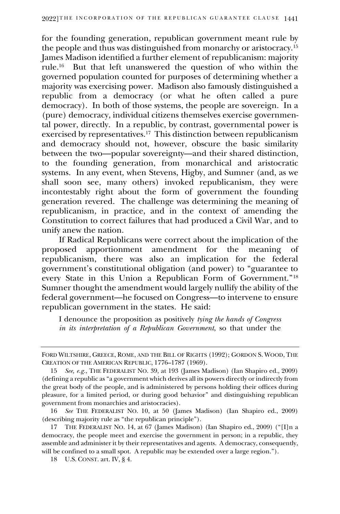for the founding generation, republican government meant rule by the people and thus was distinguished from monarchy or aristocracy.<sup>15</sup> James Madison identified a further element of republicanism: majority rule.<sup>16</sup> But that left unanswered the question of who within the governed population counted for purposes of determining whether a majority was exercising power. Madison also famously distinguished a republic from a democracy (or what he often called a pure democracy). In both of those systems, the people are sovereign. In a (pure) democracy, individual citizens themselves exercise governmental power, directly. In a republic, by contrast, governmental power is exercised by representatives.<sup>17</sup> This distinction between republicanism and democracy should not, however, obscure the basic similarity between the two—popular sovereignty—and their shared distinction, to the founding generation, from monarchical and aristocratic systems. In any event, when Stevens, Higby, and Sumner (and, as we shall soon see, many others) invoked republicanism, they were incontestably right about the form of government the founding generation revered. The challenge was determining the meaning of republicanism, in practice, and in the context of amending the Constitution to correct failures that had produced a Civil War, and to unify anew the nation.

If Radical Republicans were correct about the implication of the proposed apportionment amendment for republicanism, there was also an implication for the federal government's constitutional obligation (and power) to "guarantee to every State in this Union a Republican Form of Government."<sup>18</sup> Sumner thought the amendment would largely nullify the ability of the federal government—he focused on Congress—to intervene to ensure republican government in the states. He said:

I denounce the proposition as positively *tying the hands of Congress in its interpretation of a Republican Government*, so that under the

FORD WILTSHIRE, GREECE, ROME, AND THE BILL OF RIGHTS (1992); GORDON S. WOOD, THE CREATION OF THE AMERICAN REPUBLIC, 1776–1787 (1969).

<sup>15</sup> *See, e.g.*, THE FEDERALIST NO. 39, at 193 (James Madison) (Ian Shapiro ed., 2009) (defining a republic as "a government which derives all its powers directly or indirectly from the great body of the people, and is administered by persons holding their offices during pleasure, for a limited period, or during good behavior" and distinguishing republican government from monarchies and aristocracies).

<sup>16</sup> *See* THE FEDERALIST NO. 10, at 50 (James Madison) (Ian Shapiro ed., 2009) (describing majority rule as "the republican principle").

<sup>17</sup> THE FEDERALIST NO. 14, at 67 (James Madison) (Ian Shapiro ed., 2009) ("[I]n a democracy, the people meet and exercise the government in person; in a republic, they assemble and administer it by their representatives and agents. A democracy, consequently, will be confined to a small spot. A republic may be extended over a large region.").

<sup>18</sup> U.S. CONST. art. IV, § 4.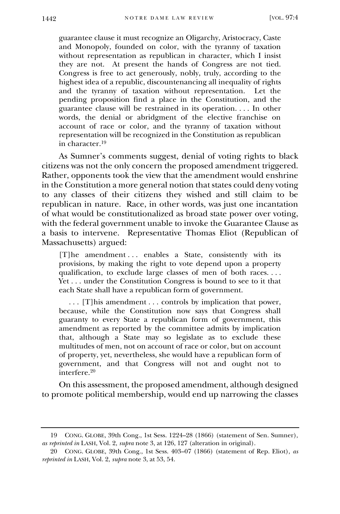guarantee clause it must recognize an Oligarchy, Aristocracy, Caste and Monopoly, founded on color, with the tyranny of taxation without representation as republican in character, which I insist they are not. At present the hands of Congress are not tied. Congress is free to act generously, nobly, truly, according to the highest idea of a republic, discountenancing all inequality of rights and the tyranny of taxation without representation. Let the pending proposition find a place in the Constitution, and the guarantee clause will be restrained in its operation. . . . In other words, the denial or abridgment of the elective franchise on account of race or color, and the tyranny of taxation without representation will be recognized in the Constitution as republican in character.<sup>19</sup>

As Sumner's comments suggest, denial of voting rights to black citizens was not the only concern the proposed amendment triggered. Rather, opponents took the view that the amendment would enshrine in the Constitution a more general notion that states could deny voting to any classes of their citizens they wished and still claim to be republican in nature. Race, in other words, was just one incantation of what would be constitutionalized as broad state power over voting, with the federal government unable to invoke the Guarantee Clause as a basis to intervene. Representative Thomas Eliot (Republican of Massachusetts) argued:

[T]he amendment ... enables a State, consistently with its provisions, by making the right to vote depend upon a property qualification, to exclude large classes of men of both races. . . . Yet ... under the Constitution Congress is bound to see to it that each State shall have a republican form of government.

 . . . [T]his amendment . . . controls by implication that power, because, while the Constitution now says that Congress shall guaranty to every State a republican form of government, this amendment as reported by the committee admits by implication that, although a State may so legislate as to exclude these multitudes of men, not on account of race or color, but on account of property, yet, nevertheless, she would have a republican form of government, and that Congress will not and ought not to interfere.<sup>20</sup>

On this assessment, the proposed amendment, although designed to promote political membership, would end up narrowing the classes

<sup>19</sup> CONG. GLOBE, 39th Cong., 1st Sess. 1224–28 (1866) (statement of Sen. Sumner), *as reprinted in* LASH, Vol. 2, *supra* note 3, at 126, 127 (alteration in original).

<sup>20</sup> CONG. GLOBE, 39th Cong., 1st Sess. 403–07 (1866) (statement of Rep. Eliot), *as reprinted in* LASH, Vol. 2, *supra* note 3, at 53, 54.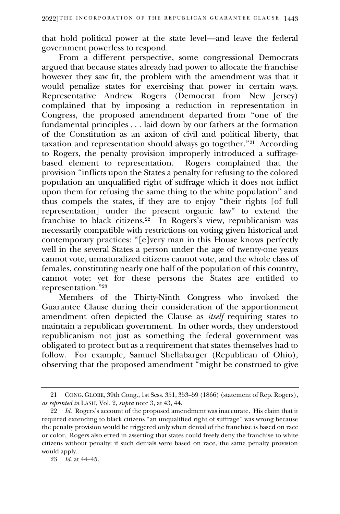that hold political power at the state level—and leave the federal government powerless to respond.

From a different perspective, some congressional Democrats argued that because states already had power to allocate the franchise however they saw fit, the problem with the amendment was that it would penalize states for exercising that power in certain ways. Representative Andrew Rogers (Democrat from New Jersey) complained that by imposing a reduction in representation in Congress, the proposed amendment departed from "one of the fundamental principles . . . laid down by our fathers at the formation of the Constitution as an axiom of civil and political liberty, that taxation and representation should always go together."<sup>21</sup> According to Rogers, the penalty provision improperly introduced a suffragebased element to representation. Rogers complained that the provision "inflicts upon the States a penalty for refusing to the colored population an unqualified right of suffrage which it does not inflict upon them for refusing the same thing to the white population" and thus compels the states, if they are to enjoy "their rights [of full representation] under the present organic law" to extend the franchise to black citizens.<sup>22</sup> In Rogers's view, republicanism was necessarily compatible with restrictions on voting given historical and contemporary practices: "[e]very man in this House knows perfectly well in the several States a person under the age of twenty-one years cannot vote, unnaturalized citizens cannot vote, and the whole class of females, constituting nearly one half of the population of this country, cannot vote; yet for these persons the States are entitled to representation."<sup>23</sup>

Members of the Thirty-Ninth Congress who invoked the Guarantee Clause during their consideration of the apportionment amendment often depicted the Clause as *itself* requiring states to maintain a republican government. In other words, they understood republicanism not just as something the federal government was obligated to protect but as a requirement that states themselves had to follow. For example, Samuel Shellabarger (Republican of Ohio), observing that the proposed amendment "might be construed to give

<sup>21</sup> CONG. GLOBE, 39th Cong., 1st Sess. 351, 353–59 (1866) (statement of Rep. Rogers), *as reprinted in* LASH, Vol. 2, *supra* note 3, at 43, 44.

<sup>22</sup> *Id.* Rogers's account of the proposed amendment was inaccurate. His claim that it required extending to black citizens "an unqualified right of suffrage" was wrong because the penalty provision would be triggered only when denial of the franchise is based on race or color. Rogers also erred in asserting that states could freely deny the franchise to white citizens without penalty: if such denials were based on race, the same penalty provision would apply.

<sup>23</sup> *Id.* at 44–45.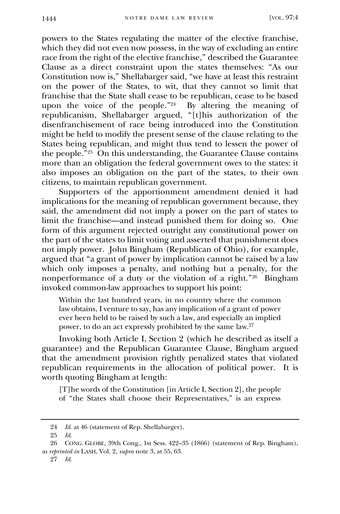powers to the States regulating the matter of the elective franchise, which they did not even now possess, in the way of excluding an entire race from the right of the elective franchise," described the Guarantee Clause as a direct constraint upon the states themselves: "As our Constitution now is," Shellabarger said, "we have at least this restraint on the power of the States, to wit, that they cannot so limit that franchise that the State shall cease to be republican, cease to be based upon the voice of the people."<sup>24</sup> By altering the meaning of republicanism, Shellabarger argued, "[t]his authorization of the disenfranchisement of race being introduced into the Constitution might be held to modify the present sense of the clause relating to the States being republican, and might thus tend to lessen the power of the people."<sup>25</sup> On this understanding, the Guarantee Clause contains more than an obligation the federal government owes to the states: it also imposes an obligation on the part of the states, to their own citizens, to maintain republican government.

Supporters of the apportionment amendment denied it had implications for the meaning of republican government because, they said, the amendment did not imply a power on the part of states to limit the franchise—and instead punished them for doing so. One form of this argument rejected outright any constitutional power on the part of the states to limit voting and asserted that punishment does not imply power. John Bingham (Republican of Ohio), for example, argued that "a grant of power by implication cannot be raised by a law which only imposes a penalty, and nothing but a penalty, for the nonperformance of a duty or the violation of a right." $26$  Bingham invoked common-law approaches to support his point:

Within the last hundred years, in no country where the common law obtains, I venture to say, has any implication of a grant of power ever been held to be raised by such a law, and especially an implied power, to do an act expressly prohibited by the same law.<sup>27</sup>

Invoking both Article I, Section 2 (which he described as itself a guarantee) and the Republican Guarantee Clause, Bingham argued that the amendment provision rightly penalized states that violated republican requirements in the allocation of political power. It is worth quoting Bingham at length:

[T]he words of the Constitution [in Article I, Section 2], the people of "the States shall choose their Representatives," is an express

<sup>24</sup> *Id.* at 46 (statement of Rep. Shellabarger).

<sup>25</sup> *Id.*

<sup>26</sup> CONG. GLOBE, 39th Cong., 1st Sess. 422–35 (1866) (statement of Rep. Bingham), *as reprinted in* LASH, Vol. 2, *supra* note 3, at 55, 63.

<sup>27</sup> *Id.*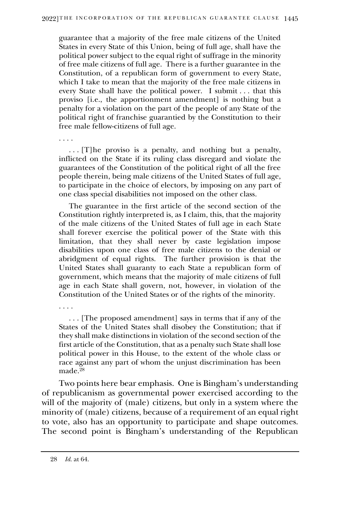guarantee that a majority of the free male citizens of the United States in every State of this Union, being of full age, shall have the political power subject to the equal right of suffrage in the minority of free male citizens of full age. There is a further guarantee in the Constitution, of a republican form of government to every State, which I take to mean that the majority of the free male citizens in every State shall have the political power. I submit . . . that this proviso [i.e., the apportionment amendment] is nothing but a penalty for a violation on the part of the people of any State of the political right of franchise guarantied by the Constitution to their free male fellow-citizens of full age.

 . . . [T]he proviso is a penalty, and nothing but a penalty, inflicted on the State if its ruling class disregard and violate the guarantees of the Constitution of the political right of all the free people therein, being male citizens of the United States of full age, to participate in the choice of electors, by imposing on any part of one class special disabilities not imposed on the other class.

 The guarantee in the first article of the second section of the Constitution rightly interpreted is, as I claim, this, that the majority of the male citizens of the United States of full age in each State shall forever exercise the political power of the State with this limitation, that they shall never by caste legislation impose disabilities upon one class of free male citizens to the denial or abridgment of equal rights. The further provision is that the United States shall guaranty to each State a republican form of government, which means that the majority of male citizens of full age in each State shall govern, not, however, in violation of the Constitution of the United States or of the rights of the minority.

. . . .

. . . .

 . . . [The proposed amendment] says in terms that if any of the States of the United States shall disobey the Constitution; that if they shall make distinctions in violation of the second section of the first article of the Constitution, that as a penalty such State shall lose political power in this House, to the extent of the whole class or race against any part of whom the unjust discrimination has been made.<sup>28</sup>

Two points here bear emphasis. One is Bingham's understanding of republicanism as governmental power exercised according to the will of the majority of (male) citizens, but only in a system where the minority of (male) citizens, because of a requirement of an equal right to vote, also has an opportunity to participate and shape outcomes. The second point is Bingham's understanding of the Republican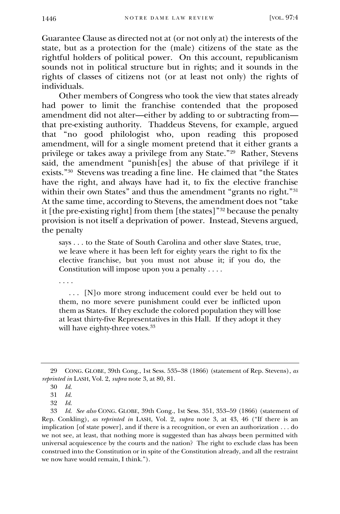Guarantee Clause as directed not at (or not only at) the interests of the state, but as a protection for the (male) citizens of the state as the rightful holders of political power. On this account, republicanism sounds not in political structure but in rights; and it sounds in the rights of classes of citizens not (or at least not only) the rights of individuals.

Other members of Congress who took the view that states already had power to limit the franchise contended that the proposed amendment did not alter—either by adding to or subtracting from that pre-existing authority. Thaddeus Stevens, for example, argued that "no good philologist who, upon reading this proposed amendment, will for a single moment pretend that it either grants a privilege or takes away a privilege from any State."<sup>29</sup> Rather, Stevens said, the amendment "punish[es] the abuse of that privilege if it exists."<sup>30</sup> Stevens was treading a fine line. He claimed that "the States have the right, and always have had it, to fix the elective franchise within their own States" and thus the amendment "grants no right."<sup>31</sup> At the same time, according to Stevens, the amendment does not "take it [the pre-existing right] from them [the states]" <sup>32</sup> because the penalty provision is not itself a deprivation of power. Instead, Stevens argued, the penalty

says . . . to the State of South Carolina and other slave States, true, we leave where it has been left for eighty years the right to fix the elective franchise, but you must not abuse it; if you do, the Constitution will impose upon you a penalty . . . .

. . . .

 . . . [N]o more strong inducement could ever be held out to them, no more severe punishment could ever be inflicted upon them as States. If they exclude the colored population they will lose at least thirty-five Representatives in this Hall. If they adopt it they will have eighty-three votes.<sup>33</sup>

<sup>29</sup> CONG. GLOBE, 39th Cong., 1st Sess. 535–38 (1866) (statement of Rep. Stevens), *as reprinted in* LASH, Vol. 2, *supra* note 3, at 80, 81.

<sup>30</sup> *Id.*

<sup>31</sup> *Id.*

<sup>32</sup> *Id.*

<sup>33</sup> *Id. See also* CONG. GLOBE, 39th Cong., 1st Sess. 351, 353–59 (1866) (statement of Rep. Conkling), *as reprinted in* LASH, Vol. 2, *supra* note 3, at 43, 46 ("If there is an implication [of state power], and if there is a recognition, or even an authorization . . . do we not see, at least, that nothing more is suggested than has always been permitted with universal acquiescence by the courts and the nation? The right to exclude class has been construed into the Constitution or in spite of the Constitution already, and all the restraint we now have would remain, I think.").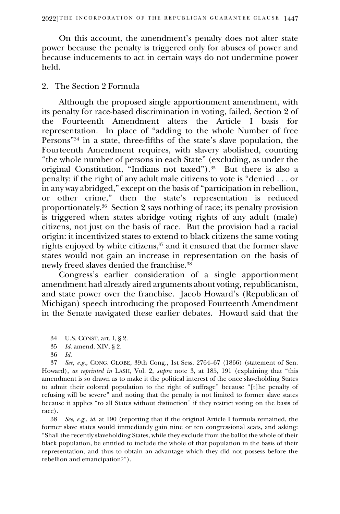On this account, the amendment's penalty does not alter state power because the penalty is triggered only for abuses of power and because inducements to act in certain ways do not undermine power held.

#### 2. The Section 2 Formula

Although the proposed single apportionment amendment, with its penalty for race-based discrimination in voting, failed, Section 2 of the Fourteenth Amendment alters the Article I basis for representation. In place of "adding to the whole Number of free Persons"<sup>34</sup> in a state, three-fifths of the state's slave population, the Fourteenth Amendment requires, with slavery abolished, counting "the whole number of persons in each State" (excluding, as under the original Constitution, "Indians not taxed").<sup>35</sup> But there is also a penalty: if the right of any adult male citizens to vote is "denied . . . or in any way abridged," except on the basis of "participation in rebellion, or other crime," then the state's representation is reduced proportionately.<sup>36</sup> Section 2 says nothing of race; its penalty provision is triggered when states abridge voting rights of any adult (male) citizens, not just on the basis of race. But the provision had a racial origin: it incentivized states to extend to black citizens the same voting rights enjoyed by white citizens,<sup>37</sup> and it ensured that the former slave states would not gain an increase in representation on the basis of newly freed slaves denied the franchise.<sup>38</sup>

Congress's earlier consideration of a single apportionment amendment had already aired arguments about voting, republicanism, and state power over the franchise. Jacob Howard's (Republican of Michigan) speech introducing the proposed Fourteenth Amendment in the Senate navigated these earlier debates. Howard said that the

38 *See, e.g.*, *id.* at 190 (reporting that if the original Article I formula remained, the former slave states would immediately gain nine or ten congressional seats, and asking: "Shall the recently slaveholding States, while they exclude from the ballot the whole of their black population, be entitled to include the whole of that population in the basis of their representation, and thus to obtain an advantage which they did not possess before the rebellion and emancipation?").

<sup>34</sup> U.S. CONST. art. I, § 2.

<sup>35</sup> *Id.* amend. XIV, § 2.

<sup>36</sup> *Id.*

<sup>37</sup> *See, e.g.*, CONG. GLOBE, 39th Cong., 1st Sess. 2764–67 (1866) (statement of Sen. Howard), *as reprinted in* LASH, Vol. 2, *supra* note 3, at 185, 191 (explaining that "this amendment is so drawn as to make it the political interest of the once slaveholding States to admit their colored population to the right of suffrage" because "[t]he penalty of refusing will be severe" and noting that the penalty is not limited to former slave states because it applies "to all States without distinction" if they restrict voting on the basis of race).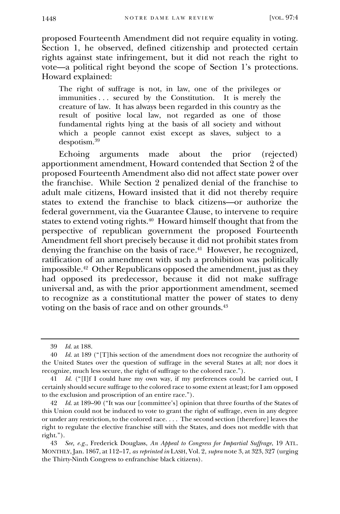proposed Fourteenth Amendment did not require equality in voting. Section 1, he observed, defined citizenship and protected certain rights against state infringement, but it did not reach the right to vote—a political right beyond the scope of Section 1's protections. Howard explained:

The right of suffrage is not, in law, one of the privileges or immunities . . . secured by the Constitution. It is merely the creature of law. It has always been regarded in this country as the result of positive local law, not regarded as one of those fundamental rights lying at the basis of all society and without which a people cannot exist except as slaves, subject to a despotism.<sup>39</sup>

Echoing arguments made about the prior (rejected) apportionment amendment, Howard contended that Section 2 of the proposed Fourteenth Amendment also did not affect state power over the franchise. While Section 2 penalized denial of the franchise to adult male citizens, Howard insisted that it did not thereby require states to extend the franchise to black citizens—or authorize the federal government, via the Guarantee Clause, to intervene to require states to extend voting rights.<sup>40</sup> Howard himself thought that from the perspective of republican government the proposed Fourteenth Amendment fell short precisely because it did not prohibit states from denying the franchise on the basis of race.<sup>41</sup> However, he recognized, ratification of an amendment with such a prohibition was politically impossible.<sup>42</sup> Other Republicans opposed the amendment, just as they had opposed its predecessor, because it did not make suffrage universal and, as with the prior apportionment amendment, seemed to recognize as a constitutional matter the power of states to deny voting on the basis of race and on other grounds.<sup>43</sup>

<sup>39</sup> *Id.* at 188.

<sup>40</sup> *Id.* at 189 ("[T]his section of the amendment does not recognize the authority of the United States over the question of suffrage in the several States at all; nor does it recognize, much less secure, the right of suffrage to the colored race.").

<sup>41</sup> *Id.* ("[I]f I could have my own way, if my preferences could be carried out, I certainly should secure suffrage to the colored race to some extent at least; for I am opposed to the exclusion and proscription of an entire race.").

<sup>42</sup> *Id.* at 189–90 ("It was our [committee's] opinion that three fourths of the States of this Union could not be induced to vote to grant the right of suffrage, even in any degree or under any restriction, to the colored race. . . . The second section [therefore] leaves the right to regulate the elective franchise still with the States, and does not meddle with that right.").

<sup>43</sup> *See, e.g.*, Frederick Douglass, *An Appeal to Congress for Impartial Suffrage*, 19 ATL. MONTHLY, Jan. 1867, at 112–17, *as reprinted in* LASH, Vol. 2, *supra* note 3, at 323, 327 (urging the Thirty-Ninth Congress to enfranchise black citizens).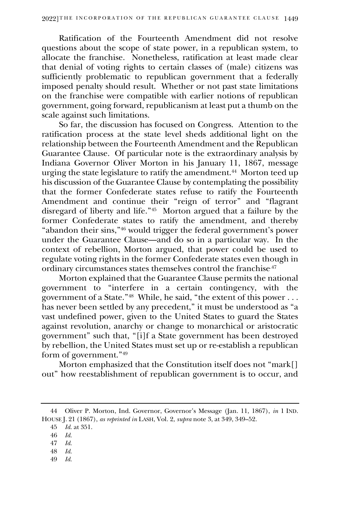Ratification of the Fourteenth Amendment did not resolve questions about the scope of state power, in a republican system, to allocate the franchise. Nonetheless, ratification at least made clear that denial of voting rights to certain classes of (male) citizens was sufficiently problematic to republican government that a federally imposed penalty should result. Whether or not past state limitations on the franchise were compatible with earlier notions of republican government, going forward, republicanism at least put a thumb on the scale against such limitations.

So far, the discussion has focused on Congress. Attention to the ratification process at the state level sheds additional light on the relationship between the Fourteenth Amendment and the Republican Guarantee Clause. Of particular note is the extraordinary analysis by Indiana Governor Oliver Morton in his January 11, 1867, message urging the state legislature to ratify the amendment.<sup>44</sup> Morton teed up his discussion of the Guarantee Clause by contemplating the possibility that the former Confederate states refuse to ratify the Fourteenth Amendment and continue their "reign of terror" and "flagrant disregard of liberty and life."<sup>45</sup> Morton argued that a failure by the former Confederate states to ratify the amendment, and thereby "abandon their sins,"<sup>46</sup> would trigger the federal government's power under the Guarantee Clause—and do so in a particular way. In the context of rebellion, Morton argued, that power could be used to regulate voting rights in the former Confederate states even though in ordinary circumstances states themselves control the franchise.47

Morton explained that the Guarantee Clause permits the national government to "interfere in a certain contingency, with the government of a State."<sup>48</sup> While, he said, "the extent of this power . . . has never been settled by any precedent," it must be understood as "a vast undefined power, given to the United States to guard the States against revolution, anarchy or change to monarchical or aristocratic government" such that, "[i]f a State government has been destroyed by rebellion, the United States must set up or re-establish a republican form of government."<sup>49</sup>

Morton emphasized that the Constitution itself does not "mark[] out" how reestablishment of republican government is to occur, and

49 *Id.*

<sup>44</sup> Oliver P. Morton, Ind. Governor, Governor's Message (Jan. 11, 1867), *in* 1 IND. HOUSE J. 21 (1867), *as reprinted in* LASH, Vol. 2, *supra* note 3, at 349, 349–52.

<sup>45</sup> *Id.* at 351.

<sup>46</sup> *Id.*

<sup>47</sup> *Id.*

<sup>48</sup> *Id.*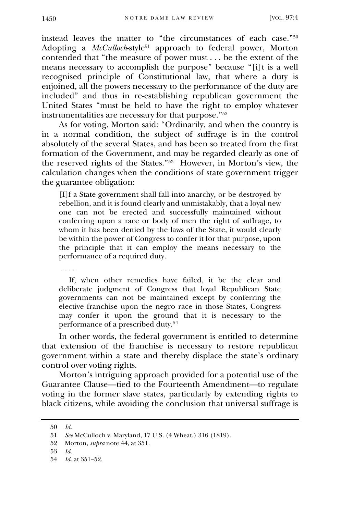instead leaves the matter to "the circumstances of each case."<sup>50</sup> Adopting a *McCulloch*-style<sup>51</sup> approach to federal power, Morton contended that "the measure of power must . . . be the extent of the means necessary to accomplish the purpose" because "[i]t is a well recognised principle of Constitutional law, that where a duty is enjoined, all the powers necessary to the performance of the duty are included" and thus in re-establishing republican government the United States "must be held to have the right to employ whatever instrumentalities are necessary for that purpose." 52

As for voting, Morton said: "Ordinarily, and when the country is in a normal condition, the subject of suffrage is in the control absolutely of the several States, and has been so treated from the first formation of the Government, and may be regarded clearly as one of the reserved rights of the States."<sup>53</sup> However, in Morton's view, the calculation changes when the conditions of state government trigger the guarantee obligation:

[I]f a State government shall fall into anarchy, or be destroyed by rebellion, and it is found clearly and unmistakably, that a loyal new one can not be erected and successfully maintained without conferring upon a race or body of men the right of suffrage, to whom it has been denied by the laws of the State, it would clearly be within the power of Congress to confer it for that purpose, upon the principle that it can employ the means necessary to the performance of a required duty.

. . . .

 If, when other remedies have failed, it be the clear and deliberate judgment of Congress that loyal Republican State governments can not be maintained except by conferring the elective franchise upon the negro race in those States, Congress may confer it upon the ground that it is necessary to the performance of a prescribed duty.<sup>54</sup>

In other words, the federal government is entitled to determine that extension of the franchise is necessary to restore republican government within a state and thereby displace the state's ordinary control over voting rights.

Morton's intriguing approach provided for a potential use of the Guarantee Clause—tied to the Fourteenth Amendment—to regulate voting in the former slave states, particularly by extending rights to black citizens, while avoiding the conclusion that universal suffrage is

<sup>50</sup> *Id.*

<sup>51</sup> *See* McCulloch v. Maryland, 17 U.S. (4 Wheat.) 316 (1819).

<sup>52</sup> Morton, *supra* note 44, at 351*.*

<sup>53</sup> *Id.*

<sup>54</sup> *Id.* at 351–52.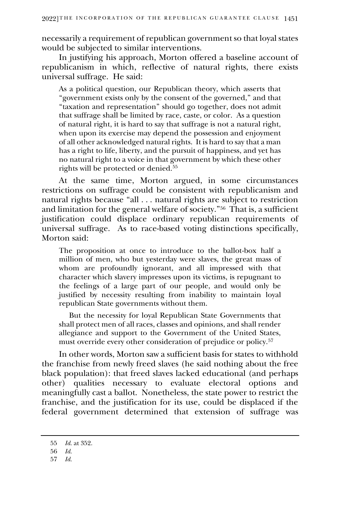necessarily a requirement of republican government so that loyal states would be subjected to similar interventions.

In justifying his approach, Morton offered a baseline account of republicanism in which, reflective of natural rights, there exists universal suffrage. He said:

As a political question, our Republican theory, which asserts that "government exists only by the consent of the governed," and that "taxation and representation" should go together, does not admit that suffrage shall be limited by race, caste, or color. As a question of natural right, it is hard to say that suffrage is not a natural right, when upon its exercise may depend the possession and enjoyment of all other acknowledged natural rights. It is hard to say that a man has a right to life, liberty, and the pursuit of happiness, and yet has no natural right to a voice in that government by which these other rights will be protected or denied.<sup>55</sup>

At the same time, Morton argued, in some circumstances restrictions on suffrage could be consistent with republicanism and natural rights because "all . . . natural rights are subject to restriction and limitation for the general welfare of society."<sup>56</sup> That is, a sufficient justification could displace ordinary republican requirements of universal suffrage. As to race-based voting distinctions specifically, Morton said:

The proposition at once to introduce to the ballot-box half a million of men, who but yesterday were slaves, the great mass of whom are profoundly ignorant, and all impressed with that character which slavery impresses upon its victims, is repugnant to the feelings of a large part of our people, and would only be justified by necessity resulting from inability to maintain loyal republican State governments without them.

 But the necessity for loyal Republican State Governments that shall protect men of all races, classes and opinions, and shall render allegiance and support to the Government of the United States, must override every other consideration of prejudice or policy.<sup>57</sup>

In other words, Morton saw a sufficient basis for states to withhold the franchise from newly freed slaves (he said nothing about the free black population): that freed slaves lacked educational (and perhaps other) qualities necessary to evaluate electoral options and meaningfully cast a ballot. Nonetheless, the state power to restrict the franchise, and the justification for its use, could be displaced if the federal government determined that extension of suffrage was

<sup>55</sup> *Id.* at 352.

<sup>56</sup> *Id.*

<sup>57</sup> *Id.*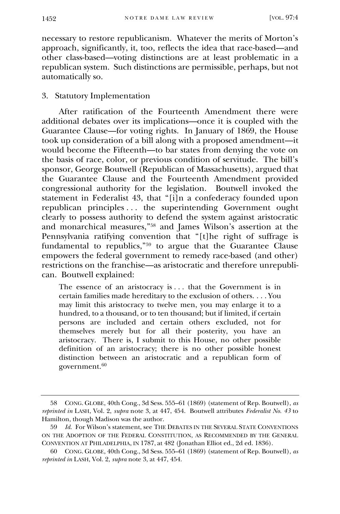necessary to restore republicanism. Whatever the merits of Morton's approach, significantly, it, too, reflects the idea that race-based—and other class-based—voting distinctions are at least problematic in a republican system. Such distinctions are permissible, perhaps, but not automatically so.

#### 3. Statutory Implementation

After ratification of the Fourteenth Amendment there were additional debates over its implications—once it is coupled with the Guarantee Clause—for voting rights. In January of 1869, the House took up consideration of a bill along with a proposed amendment—it would become the Fifteenth—to bar states from denying the vote on the basis of race, color, or previous condition of servitude. The bill's sponsor, George Boutwell (Republican of Massachusetts), argued that the Guarantee Clause and the Fourteenth Amendment provided congressional authority for the legislation. Boutwell invoked the statement in Federalist 43, that "[i]n a confederacy founded upon republican principles . . . the superintending Government ought clearly to possess authority to defend the system against aristocratic and monarchical measures,"<sup>58</sup> and James Wilson's assertion at the Pennsylvania ratifying convention that "[t]he right of suffrage is fundamental to republics,"<sup>59</sup> to argue that the Guarantee Clause empowers the federal government to remedy race-based (and other) restrictions on the franchise—as aristocratic and therefore unrepublican. Boutwell explained:

The essence of an aristocracy is . . . that the Government is in certain families made hereditary to the exclusion of others. . . . You may limit this aristocracy to twelve men, you may enlarge it to a hundred, to a thousand, or to ten thousand; but if limited, if certain persons are included and certain others excluded, not for themselves merely but for all their posterity, you have an aristocracy. There is, I submit to this House, no other possible definition of an aristocracy; there is no other possible honest distinction between an aristocratic and a republican form of government.<sup>60</sup>

<sup>58</sup> CONG. GLOBE, 40th Cong., 3d Sess. 555–61 (1869) (statement of Rep. Boutwell), *as reprinted in* LASH, Vol. 2, *supra* note 3, at 447, 454. Boutwell attributes *Federalist No. 43* to Hamilton, though Madison was the author.

<sup>59</sup> *Id.* For Wilson's statement, see THE DEBATES IN THE SEVERAL STATE CONVENTIONS ON THE ADOPTION OF THE FEDERAL CONSTITUTION, AS RECOMMENDED BY THE GENERAL CONVENTION AT PHILADELPHIA, IN 1787, at 482 (Jonathan Elliot ed., 2d ed. 1836).

<sup>60</sup> CONG. GLOBE, 40th Cong., 3d Sess. 555–61 (1869) (statement of Rep. Boutwell), *as reprinted in* LASH, Vol. 2, *supra* note 3, at 447, 454.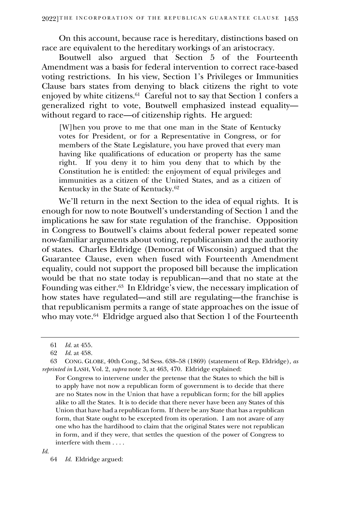On this account, because race is hereditary, distinctions based on race are equivalent to the hereditary workings of an aristocracy.

Boutwell also argued that Section 5 of the Fourteenth Amendment was a basis for federal intervention to correct race-based voting restrictions. In his view, Section 1's Privileges or Immunities Clause bars states from denying to black citizens the right to vote enjoyed by white citizens.<sup>61</sup> Careful not to say that Section 1 confers a generalized right to vote, Boutwell emphasized instead equality without regard to race—of citizenship rights. He argued:

[W]hen you prove to me that one man in the State of Kentucky votes for President, or for a Representative in Congress, or for members of the State Legislature, you have proved that every man having like qualifications of education or property has the same right. If you deny it to him you deny that to which by the Constitution he is entitled: the enjoyment of equal privileges and immunities as a citizen of the United States, and as a citizen of Kentucky in the State of Kentucky.<sup>62</sup>

We'll return in the next Section to the idea of equal rights. It is enough for now to note Boutwell's understanding of Section 1 and the implications he saw for state regulation of the franchise. Opposition in Congress to Boutwell's claims about federal power repeated some now-familiar arguments about voting, republicanism and the authority of states. Charles Eldridge (Democrat of Wisconsin) argued that the Guarantee Clause, even when fused with Fourteenth Amendment equality, could not support the proposed bill because the implication would be that no state today is republican—and that no state at the Founding was either.<sup>63</sup> In Eldridge's view, the necessary implication of how states have regulated—and still are regulating—the franchise is that republicanism permits a range of state approaches on the issue of who may vote.<sup>64</sup> Eldridge argued also that Section 1 of the Fourteenth

For Congress to intervene under the pretense that the States to which the bill is to apply have not now a republican form of government is to decide that there are no States now in the Union that have a republican form; for the bill applies alike to all the States. It is to decide that there never have been any States of this Union that have had a republican form. If there be any State that has a republican form, that State ought to be excepted from its operation. I am not aware of any one who has the hardihood to claim that the original States were not republican in form, and if they were, that settles the question of the power of Congress to interfere with them . . . .

*Id.*

<sup>61</sup> *Id.* at 455.

<sup>62</sup> *Id.* at 458.

<sup>63</sup> CONG. GLOBE, 40th Cong., 3d Sess. 638–58 (1869) (statement of Rep. Eldridge), *as reprinted in* LASH, Vol. 2, *supra* note 3, at 463, 470. Eldridge explained:

<sup>64</sup> *Id.* Eldridge argued: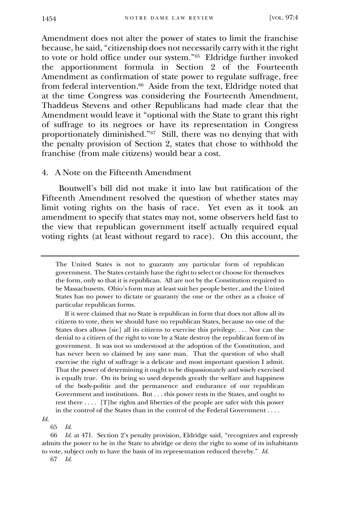Amendment does not alter the power of states to limit the franchise because, he said, "citizenship does not necessarily carry with it the right to vote or hold office under our system."<sup>65</sup> Eldridge further invoked the apportionment formula in Section 2 of the Fourteenth Amendment as confirmation of state power to regulate suffrage, free from federal intervention.<sup>66</sup> Aside from the text, Eldridge noted that at the time Congress was considering the Fourteenth Amendment, Thaddeus Stevens and other Republicans had made clear that the Amendment would leave it "optional with the State to grant this right of suffrage to its negroes or have its representation in Congress proportionately diminished."<sup>67</sup> Still, there was no denying that with the penalty provision of Section 2, states that chose to withhold the franchise (from male citizens) would bear a cost.

#### 4. A Note on the Fifteenth Amendment

Boutwell's bill did not make it into law but ratification of the Fifteenth Amendment resolved the question of whether states may limit voting rights on the basis of race. Yet even as it took an amendment to specify that states may not, some observers held fast to the view that republican government itself actually required equal voting rights (at least without regard to race). On this account, the

 If it were claimed that no State is republican in form that does not allow all its citizens to vote, then we should have no republican States, because no one of the States does allows [sic] all its citizens to exercise this privilege. . . . Nor can the denial to a citizen of the right to vote by a State destroy the republican form of its government. It was not so understood at the adoption of the Constitution, and has never been so claimed by any sane man. That the question of who shall exercise the right of suffrage is a delicate and most important question I admit. That the power of determining it ought to be dispassionately and wisely exercised is equally true. On its being so used depends greatly the welfare and happiness of the body-politic and the permanence and endurance of our republican Government and institutions. But . . . this power rests in the States, and ought to rest there . . . . [T]he rights and liberties of the people are safer with this power in the control of the States than in the control of the Federal Government . . . .

*Id.* 

65 *Id.*

66 *Id.* at 471. Section 2's penalty provision, Eldridge said, "recognizes and expressly admits the power to be in the State to abridge or deny the right to some of its inhabitants to vote, subject only to have the basis of its representation reduced thereby." *Id.*

67 *Id.*

The United States is not to guaranty any particular form of republican government. The States certainly have the right to select or choose for themselves the form, only so that it is republican. All are not by the Constitution required to be Massachusetts. Ohio's form may at least suit her people better, and the United States has no power to dictate or guaranty the one or the other as a choice of particular republican forms.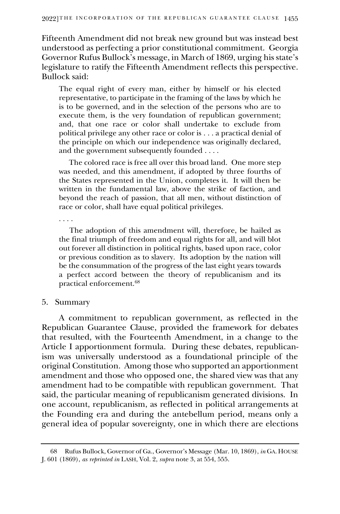Fifteenth Amendment did not break new ground but was instead best understood as perfecting a prior constitutional commitment. Georgia Governor Rufus Bullock's message, in March of 1869, urging his state's legislature to ratify the Fifteenth Amendment reflects this perspective. Bullock said:

The equal right of every man, either by himself or his elected representative, to participate in the framing of the laws by which he is to be governed, and in the selection of the persons who are to execute them, is the very foundation of republican government; and, that one race or color shall undertake to exclude from political privilege any other race or color is . . . a practical denial of the principle on which our independence was originally declared, and the government subsequently founded . . . .

 The colored race is free all over this broad land. One more step was needed, and this amendment, if adopted by three fourths of the States represented in the Union, completes it. It will then be written in the fundamental law, above the strike of faction, and beyond the reach of passion, that all men, without distinction of race or color, shall have equal political privileges.

. . . .

The adoption of this amendment will, therefore, be hailed as the final triumph of freedom and equal rights for all, and will blot out forever all distinction in political rights, based upon race, color or previous condition as to slavery. Its adoption by the nation will be the consummation of the progress of the last eight years towards a perfect accord between the theory of republicanism and its practical enforcement.<sup>68</sup>

#### 5. Summary

A commitment to republican government, as reflected in the Republican Guarantee Clause, provided the framework for debates that resulted, with the Fourteenth Amendment, in a change to the Article I apportionment formula. During these debates, republicanism was universally understood as a foundational principle of the original Constitution. Among those who supported an apportionment amendment and those who opposed one, the shared view was that any amendment had to be compatible with republican government. That said, the particular meaning of republicanism generated divisions. In one account, republicanism, as reflected in political arrangements at the Founding era and during the antebellum period, means only a general idea of popular sovereignty, one in which there are elections

<sup>68</sup> Rufus Bullock, Governor of Ga., Governor's Message (Mar. 10, 1869), *in* GA. HOUSE J. 601 (1869), *as reprinted in* LASH, Vol. 2, *supra* note 3, at 554, 555.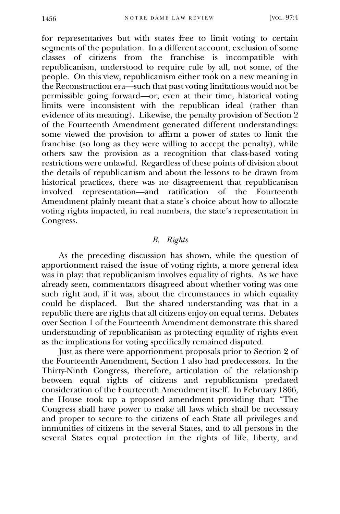for representatives but with states free to limit voting to certain segments of the population. In a different account, exclusion of some classes of citizens from the franchise is incompatible with republicanism, understood to require rule by all, not some, of the people. On this view, republicanism either took on a new meaning in the Reconstruction era—such that past voting limitations would not be permissible going forward—or, even at their time, historical voting limits were inconsistent with the republican ideal (rather than evidence of its meaning). Likewise, the penalty provision of Section 2 of the Fourteenth Amendment generated different understandings: some viewed the provision to affirm a power of states to limit the franchise (so long as they were willing to accept the penalty), while others saw the provision as a recognition that class-based voting restrictions were unlawful. Regardless of these points of division about the details of republicanism and about the lessons to be drawn from historical practices, there was no disagreement that republicanism involved representation—and ratification of the Fourteenth Amendment plainly meant that a state's choice about how to allocate voting rights impacted, in real numbers, the state's representation in Congress.

#### *B. Rights*

As the preceding discussion has shown, while the question of apportionment raised the issue of voting rights, a more general idea was in play: that republicanism involves equality of rights. As we have already seen, commentators disagreed about whether voting was one such right and, if it was, about the circumstances in which equality could be displaced. But the shared understanding was that in a republic there are rights that all citizens enjoy on equal terms. Debates over Section 1 of the Fourteenth Amendment demonstrate this shared understanding of republicanism as protecting equality of rights even as the implications for voting specifically remained disputed.

Just as there were apportionment proposals prior to Section 2 of the Fourteenth Amendment, Section 1 also had predecessors. In the Thirty-Ninth Congress, therefore, articulation of the relationship between equal rights of citizens and republicanism predated consideration of the Fourteenth Amendment itself. In February 1866, the House took up a proposed amendment providing that: "The Congress shall have power to make all laws which shall be necessary and proper to secure to the citizens of each State all privileges and immunities of citizens in the several States, and to all persons in the several States equal protection in the rights of life, liberty, and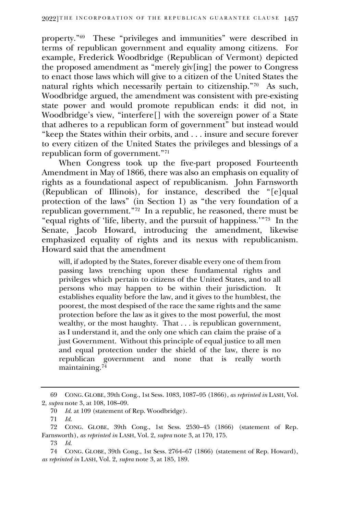property."<sup>69</sup> These "privileges and immunities" were described in terms of republican government and equality among citizens. For example, Frederick Woodbridge (Republican of Vermont) depicted the proposed amendment as "merely giv[ing] the power to Congress to enact those laws which will give to a citizen of the United States the natural rights which necessarily pertain to citizenship."<sup>70</sup> As such, Woodbridge argued, the amendment was consistent with pre-existing state power and would promote republican ends: it did not, in Woodbridge's view, "interfere[] with the sovereign power of a State that adheres to a republican form of government" but instead would "keep the States within their orbits, and . . . insure and secure forever to every citizen of the United States the privileges and blessings of a republican form of government."<sup>71</sup>

When Congress took up the five-part proposed Fourteenth Amendment in May of 1866, there was also an emphasis on equality of rights as a foundational aspect of republicanism. John Farnsworth (Republican of Illinois), for instance, described the "[e]qual protection of the laws" (in Section 1) as "the very foundation of a republican government."<sup>72</sup> In a republic, he reasoned, there must be "equal rights of 'life, liberty, and the pursuit of happiness.'"<sup>73</sup> In the Senate, Jacob Howard, introducing the amendment, likewise emphasized equality of rights and its nexus with republicanism. Howard said that the amendment

will, if adopted by the States, forever disable every one of them from passing laws trenching upon these fundamental rights and privileges which pertain to citizens of the United States, and to all persons who may happen to be within their jurisdiction. It establishes equality before the law, and it gives to the humblest, the poorest, the most despised of the race the same rights and the same protection before the law as it gives to the most powerful, the most wealthy, or the most haughty. That . . . is republican government, as I understand it, and the only one which can claim the praise of a just Government. Without this principle of equal justice to all men and equal protection under the shield of the law, there is no republican government and none that is really worth maintaining.<sup>74</sup>

<sup>69</sup> CONG. GLOBE, 39th Cong., 1st Sess. 1083, 1087–95 (1866), *as reprinted in* LASH, Vol. 2, *supra* note 3, at 108, 108–09.

<sup>70</sup> *Id.* at 109 (statement of Rep. Woodbridge).

<sup>71</sup> *Id.*

<sup>72</sup> CONG. GLOBE, 39th Cong., 1st Sess. 2530–45 (1866) (statement of Rep. Farnsworth), *as reprinted in* LASH, Vol. 2, *supra* note 3, at 170, 175.

<sup>73</sup> *Id.* 

<sup>74</sup> CONG. GLOBE, 39th Cong., 1st Sess. 2764–67 (1866) (statement of Rep. Howard), *as reprinted in* LASH, Vol. 2, *supra* note 3, at 185, 189.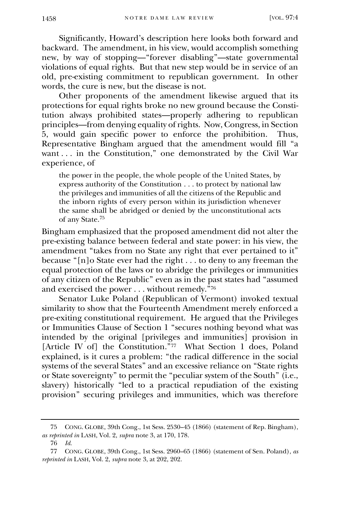Significantly, Howard's description here looks both forward and backward. The amendment, in his view, would accomplish something new, by way of stopping—"forever disabling"—state governmental violations of equal rights. But that new step would be in service of an old, pre-existing commitment to republican government. In other words, the cure is new, but the disease is not.

Other proponents of the amendment likewise argued that its protections for equal rights broke no new ground because the Constitution always prohibited states—properly adhering to republican principles—from denying equality of rights. Now, Congress, in Section 5, would gain specific power to enforce the prohibition. Thus,  $\overline{5}$ , would gain specific power to enforce the prohibition. Representative Bingham argued that the amendment would fill "a want ... in the Constitution," one demonstrated by the Civil War experience, of

the power in the people, the whole people of the United States, by express authority of the Constitution . . . to protect by national law the privileges and immunities of all the citizens of the Republic and the inborn rights of every person within its jurisdiction whenever the same shall be abridged or denied by the unconstitutional acts of any State.<sup>75</sup>

Bingham emphasized that the proposed amendment did not alter the pre-existing balance between federal and state power: in his view, the amendment "takes from no State any right that ever pertained to it" because "[n]o State ever had the right . . . to deny to any freeman the equal protection of the laws or to abridge the privileges or immunities of any citizen of the Republic" even as in the past states had "assumed and exercised the power . . . without remedy.<sup>"76</sup>

Senator Luke Poland (Republican of Vermont) invoked textual similarity to show that the Fourteenth Amendment merely enforced a pre-exiting constitutional requirement. He argued that the Privileges or Immunities Clause of Section 1 "secures nothing beyond what was intended by the original [privileges and immunities] provision in [Article IV of] the Constitution."<sup>77</sup> What Section 1 does, Poland explained, is it cures a problem: "the radical difference in the social systems of the several States" and an excessive reliance on "State rights or State sovereignty" to permit the "peculiar system of the South" (i.e., slavery) historically "led to a practical repudiation of the existing provision" securing privileges and immunities, which was therefore

<sup>75</sup> CONG. GLOBE, 39th Cong., 1st Sess. 2530–45 (1866) (statement of Rep. Bingham), *as reprinted in* LASH, Vol. 2, *supra* note 3, at 170, 178.

<sup>76</sup> *Id.*

<sup>77</sup> CONG. GLOBE, 39th Cong., 1st Sess. 2960–65 (1866) (statement of Sen. Poland), *as reprinted in* LASH, Vol. 2, *supra* note 3, at 202, 202.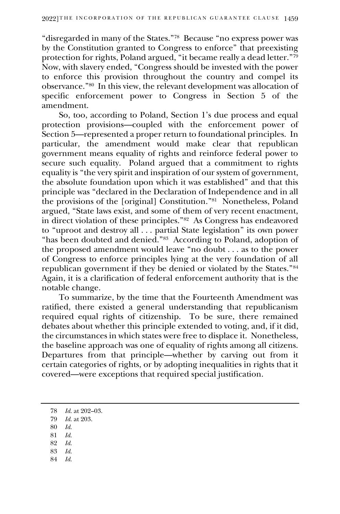"disregarded in many of the States."<sup>78</sup> Because "no express power was by the Constitution granted to Congress to enforce" that preexisting protection for rights, Poland argued, "it became really a dead letter."<sup>79</sup> Now, with slavery ended, "Congress should be invested with the power to enforce this provision throughout the country and compel its observance."<sup>80</sup> In this view, the relevant development was allocation of specific enforcement power to Congress in Section 5 of the amendment.

So, too, according to Poland, Section 1's due process and equal protection provisions—coupled with the enforcement power of Section 5—represented a proper return to foundational principles. In particular, the amendment would make clear that republican government means equality of rights and reinforce federal power to secure such equality. Poland argued that a commitment to rights equality is "the very spirit and inspiration of our system of government, the absolute foundation upon which it was established" and that this principle was "declared in the Declaration of Independence and in all the provisions of the [original] Constitution."<sup>81</sup> Nonetheless, Poland argued, "State laws exist, and some of them of very recent enactment, in direct violation of these principles."<sup>82</sup> As Congress has endeavored to "uproot and destroy all . . . partial State legislation" its own power "has been doubted and denied."<sup>83</sup> According to Poland, adoption of the proposed amendment would leave "no doubt . . . as to the power of Congress to enforce principles lying at the very foundation of all republican government if they be denied or violated by the States."<sup>84</sup> Again, it is a clarification of federal enforcement authority that is the notable change.

To summarize, by the time that the Fourteenth Amendment was ratified, there existed a general understanding that republicanism required equal rights of citizenship. To be sure, there remained debates about whether this principle extended to voting, and, if it did, the circumstances in which states were free to displace it. Nonetheless, the baseline approach was one of equality of rights among all citizens. Departures from that principle—whether by carving out from it certain categories of rights, or by adopting inequalities in rights that it covered—were exceptions that required special justification.

- 80 *Id.*
- 81 *Id.*
- 82 *Id.*
- 83 *Id.*
- 84 *Id.*

<sup>78</sup> *Id.* at 202–03.

<sup>79</sup> *Id.* at 203.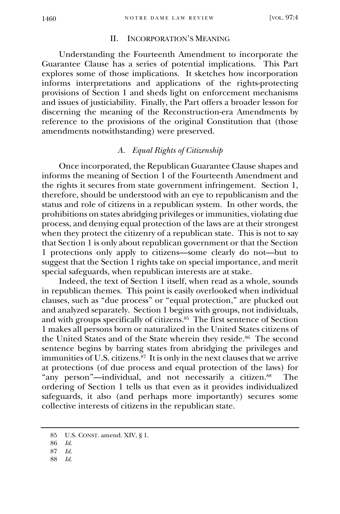#### II. INCORPORATION'S MEANING

Understanding the Fourteenth Amendment to incorporate the Guarantee Clause has a series of potential implications. This Part explores some of those implications. It sketches how incorporation informs interpretations and applications of the rights-protecting provisions of Section 1 and sheds light on enforcement mechanisms and issues of justiciability. Finally, the Part offers a broader lesson for discerning the meaning of the Reconstruction-era Amendments by reference to the provisions of the original Constitution that (those amendments notwithstanding) were preserved.

#### *A. Equal Rights of Citizenship*

Once incorporated, the Republican Guarantee Clause shapes and informs the meaning of Section 1 of the Fourteenth Amendment and the rights it secures from state government infringement. Section 1, therefore, should be understood with an eye to republicanism and the status and role of citizens in a republican system. In other words, the prohibitions on states abridging privileges or immunities, violating due process, and denying equal protection of the laws are at their strongest when they protect the citizenry of a republican state. This is not to say that Section 1 is only about republican government or that the Section 1 protections only apply to citizens—some clearly do not—but to suggest that the Section 1 rights take on special importance, and merit special safeguards, when republican interests are at stake.

Indeed, the text of Section 1 itself, when read as a whole, sounds in republican themes. This point is easily overlooked when individual clauses, such as "due process" or "equal protection," are plucked out and analyzed separately. Section 1 begins with groups, not individuals, and with groups specifically of citizens.<sup>85</sup> The first sentence of Section 1 makes all persons born or naturalized in the United States citizens of the United States and of the State wherein they reside.<sup>86</sup> The second sentence begins by barring states from abridging the privileges and immunities of U.S. citizens.<sup>87</sup> It is only in the next clauses that we arrive at protections (of due process and equal protection of the laws) for "any person"—individual, and not necessarily a citizen.<sup>88</sup> The ordering of Section 1 tells us that even as it provides individualized safeguards, it also (and perhaps more importantly) secures some collective interests of citizens in the republican state.

88 *Id.*

<sup>85</sup> U.S. CONST. amend. XIV, § 1.

<sup>86</sup> *Id.*

<sup>87</sup> *Id.*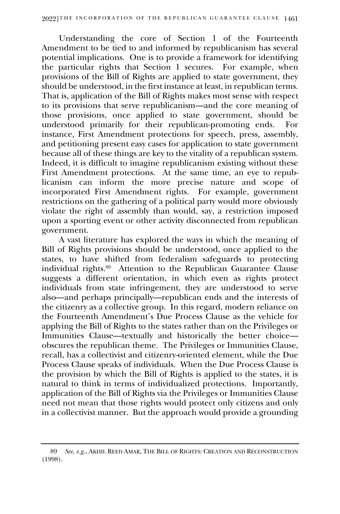Understanding the core of Section 1 of the Fourteenth Amendment to be tied to and informed by republicanism has several potential implications. One is to provide a framework for identifying the particular rights that Section 1 secures. For example, when provisions of the Bill of Rights are applied to state government, they should be understood, in the first instance at least, in republican terms. That is, application of the Bill of Rights makes most sense with respect to its provisions that serve republicanism—and the core meaning of those provisions, once applied to state government, should be understood primarily for their republican-promoting ends. For instance, First Amendment protections for speech, press, assembly, and petitioning present easy cases for application to state government because all of these things are key to the vitality of a republican system. Indeed, it is difficult to imagine republicanism existing without these First Amendment protections. At the same time, an eye to republicanism can inform the more precise nature and scope of incorporated First Amendment rights. For example, government restrictions on the gathering of a political party would more obviously violate the right of assembly than would, say, a restriction imposed upon a sporting event or other activity disconnected from republican government.

A vast literature has explored the ways in which the meaning of Bill of Rights provisions should be understood, once applied to the states, to have shifted from federalism safeguards to protecting individual rights.<sup>89</sup> Attention to the Republican Guarantee Clause suggests a different orientation, in which even as rights protect individuals from state infringement, they are understood to serve also—and perhaps principally—republican ends and the interests of the citizenry as a collective group. In this regard, modern reliance on the Fourteenth Amendment's Due Process Clause as the vehicle for applying the Bill of Rights to the states rather than on the Privileges or Immunities Clause—textually and historically the better choice obscures the republican theme. The Privileges or Immunities Clause, recall, has a collectivist and citizenry-oriented element, while the Due Process Clause speaks of individuals. When the Due Process Clause is the provision by which the Bill of Rights is applied to the states, it is natural to think in terms of individualized protections. Importantly, application of the Bill of Rights via the Privileges or Immunities Clause need not mean that those rights would protect only citizens and only in a collectivist manner. But the approach would provide a grounding

<sup>89</sup> *See, e.g.*, AKHIL REED AMAR, THE BILL OF RIGHTS: CREATION AND RECONSTRUCTION (1998).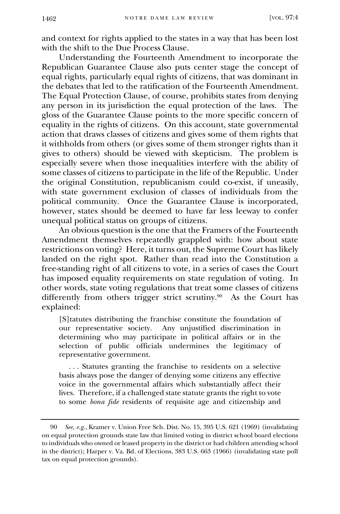and context for rights applied to the states in a way that has been lost with the shift to the Due Process Clause.

Understanding the Fourteenth Amendment to incorporate the Republican Guarantee Clause also puts center stage the concept of equal rights, particularly equal rights of citizens, that was dominant in the debates that led to the ratification of the Fourteenth Amendment. The Equal Protection Clause, of course, prohibits states from denying any person in its jurisdiction the equal protection of the laws. The gloss of the Guarantee Clause points to the more specific concern of equality in the rights of citizens. On this account, state governmental action that draws classes of citizens and gives some of them rights that it withholds from others (or gives some of them stronger rights than it gives to others) should be viewed with skepticism. The problem is especially severe when those inequalities interfere with the ability of some classes of citizens to participate in the life of the Republic. Under the original Constitution, republicanism could co-exist, if uneasily, with state government exclusion of classes of individuals from the political community. Once the Guarantee Clause is incorporated, however, states should be deemed to have far less leeway to confer unequal political status on groups of citizens.

An obvious question is the one that the Framers of the Fourteenth Amendment themselves repeatedly grappled with: how about state restrictions on voting? Here, it turns out, the Supreme Court has likely landed on the right spot. Rather than read into the Constitution a free-standing right of all citizens to vote, in a series of cases the Court has imposed equality requirements on state regulation of voting. In other words, state voting regulations that treat some classes of citizens differently from others trigger strict scrutiny.<sup>90</sup> As the Court has explained:

[S]tatutes distributing the franchise constitute the foundation of our representative society. Any unjustified discrimination in determining who may participate in political affairs or in the selection of public officials undermines the legitimacy of representative government.

 . . . Statutes granting the franchise to residents on a selective basis always pose the danger of denying some citizens any effective voice in the governmental affairs which substantially affect their lives. Therefore, if a challenged state statute grants the right to vote to some *bona fide* residents of requisite age and citizenship and

<sup>90</sup> *See, e.g.*, Kramer v. Union Free Sch. Dist. No. 15, 395 U.S. 621 (1969) (invalidating on equal protection grounds state law that limited voting in district school board elections to individuals who owned or leased property in the district or had children attending school in the district); Harper v. Va. Bd. of Elections, 383 U.S. 663 (1966) (invalidating state poll tax on equal protection grounds).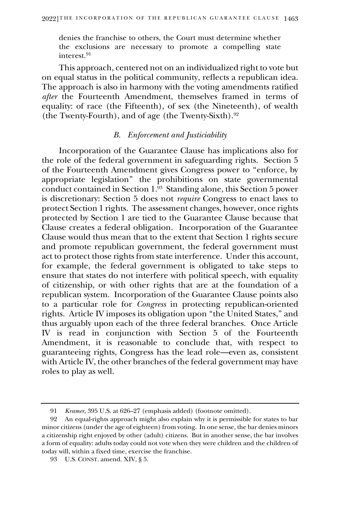denies the franchise to others, the Court must determine whether the exclusions are necessary to promote a compelling state interest.<sup>91</sup>

This approach, centered not on an individualized right to vote but on equal status in the political community, reflects a republican idea. The approach is also in harmony with the voting amendments ratified *after* the Fourteenth Amendment, themselves framed in terms of equality: of race (the Fifteenth), of sex (the Nineteenth), of wealth (the Twenty-Fourth), and of age (the Twenty-Sixth).<sup>92</sup>

#### *B. Enforcement and Justiciability*

Incorporation of the Guarantee Clause has implications also for the role of the federal government in safeguarding rights. Section 5 of the Fourteenth Amendment gives Congress power to "enforce, by appropriate legislation" the prohibitions on state governmental conduct contained in Section 1. 93 Standing alone, this Section 5 power is discretionary: Section 5 does not *require* Congress to enact laws to protect Section 1 rights. The assessment changes, however, once rights protected by Section 1 are tied to the Guarantee Clause because that Clause creates a federal obligation. Incorporation of the Guarantee Clause would thus mean that to the extent that Section 1 rights secure and promote republican government, the federal government must act to protect those rights from state interference. Under this account, for example, the federal government is obligated to take steps to ensure that states do not interfere with political speech, with equality of citizenship, or with other rights that are at the foundation of a republican system. Incorporation of the Guarantee Clause points also to a particular role for *Congress* in protecting republican-oriented rights. Article IV imposes its obligation upon "the United States," and thus arguably upon each of the three federal branches. Once Article IV is read in conjunction with Section 5 of the Fourteenth Amendment, it is reasonable to conclude that, with respect to guaranteeing rights, Congress has the lead role—even as, consistent with Article IV, the other branches of the federal government may have roles to play as well.

<sup>91</sup> *Kramer*, 395 U.S. at 626–27 (emphasis added) (footnote omitted).

<sup>92</sup> An equal-rights approach might also explain why it is permissible for states to bar minor citizens (under the age of eighteen) from voting. In one sense, the bar denies minors a citizenship right enjoyed by other (adult) citizens. But in another sense, the bar involves a form of equality: adults today could not vote when they were children and the children of today will, within a fixed time, exercise the franchise.

<sup>93</sup> U.S. CONST. amend. XIV, § 5.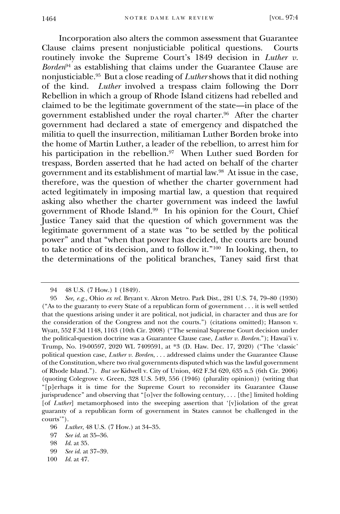Incorporation also alters the common assessment that Guarantee Clause claims present nonjusticiable political questions. Courts routinely invoke the Supreme Court's 1849 decision in *Luther v. Borden*<sup>94</sup> as establishing that claims under the Guarantee Clause are nonjusticiable.<sup>95</sup> But a close reading of *Luther* shows that it did nothing of the kind. *Luther* involved a trespass claim following the Dorr Rebellion in which a group of Rhode Island citizens had rebelled and claimed to be the legitimate government of the state—in place of the government established under the royal charter.<sup>96</sup> After the charter government had declared a state of emergency and dispatched the militia to quell the insurrection, militiaman Luther Borden broke into the home of Martin Luther, a leader of the rebellion, to arrest him for his participation in the rebellion.<sup>97</sup> When Luther sued Borden for trespass, Borden asserted that he had acted on behalf of the charter government and its establishment of martial law.<sup>98</sup> At issue in the case, therefore, was the question of whether the charter government had acted legitimately in imposing martial law, a question that required asking also whether the charter government was indeed the lawful government of Rhode Island.<sup>99</sup> In his opinion for the Court, Chief Justice Taney said that the question of which government was the legitimate government of a state was "to be settled by the political power" and that "when that power has decided, the courts are bound to take notice of its decision, and to follow it."<sup>100</sup> In looking, then, to the determinations of the political branches, Taney said first that

- 99 *See id.* at 37–39.
- 100 *Id.* at 47.

<sup>94</sup> 48 U.S. (7 How.) 1 (1849).

<sup>95</sup> *See, e.g.*, Ohio *ex rel.* Bryant v. Akron Metro. Park Dist., 281 U.S. 74, 79–80 (1930) ("As to the guaranty to every State of a republican form of government . . . it is well settled that the questions arising under it are political, not judicial, in character and thus are for the consideration of the Congress and not the courts.") (citations omitted); Hanson v. Wyatt, 552 F.3d 1148, 1163 (10th Cir. 2008) ("The seminal Supreme Court decision under the political-question doctrine was a Guarantee Clause case, *Luther v. Borden*."); Hawai'i v. Trump, No. 19-00597, 2020 WL 7409591, at \*3 (D. Haw. Dec. 17, 2020) ("The 'classic' political question case, *Luther v. Borden*, . . . addressed claims under the Guarantee Clause of the Constitution, where two rival governments disputed which was the lawful government of Rhode Island."). *But see* Kidwell v. City of Union, 462 F.3d 620, 635 n.5 (6th Cir. 2006) (quoting Colegrove v. Green, 328 U.S. 549, 556 (1946) (plurality opinion)) (writing that "[p]erhaps it is time for the Supreme Court to reconsider its Guarantee Clause jurisprudence" and observing that "[o]ver the following century, . . . [the] limited holding [of *Luther*] metamorphosed into the sweeping assertion that '[v]iolation of the great guaranty of a republican form of government in States cannot be challenged in the courts'").

<sup>96</sup> *Luther*, 48 U.S. (7 How.) at 34–35.

<sup>97</sup> *See id.* at 35–36.

<sup>98</sup> *Id.* at 35.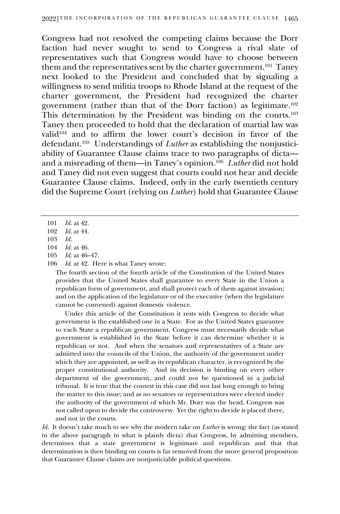Congress had not resolved the competing claims because the Dorr faction had never sought to send to Congress a rival slate of representatives such that Congress would have to choose between them and the representatives sent by the charter government.<sup>101</sup> Taney next looked to the President and concluded that by signaling a willingness to send militia troops to Rhode Island at the request of the charter government, the President had recognized the charter government (rather than that of the Dorr faction) as legitimate.<sup>102</sup> This determination by the President was binding on the courts.<sup>103</sup> Taney then proceeded to hold that the declaration of martial law was valid<sup>104</sup> and to affirm the lower court's decision in favor of the defendant.<sup>105</sup> Understandings of *Luther* as establishing the nonjusticiability of Guarantee Clause claims trace to two paragraphs of dicta and a misreading of them—in Taney's opinion.<sup>106</sup> *Luther* did not hold and Taney did not even suggest that courts could not hear and decide Guarantee Clause claims. Indeed, only in the early twentieth century did the Supreme Court (relying on *Luther*) hold that Guarantee Clause

106 *Id.* at 42. Here is what Taney wrote:

The fourth section of the fourth article of the Constitution of the United States provides that the United States shall guarantee to every State in the Union a republican form of government, and shall protect each of them against invasion; and on the application of the legislature or of the executive (when the legislature cannot be convened) against domestic violence.

Under this article of the Constitution it rests with Congress to decide what government is the established one in a State. For as the United States guarantee to each State a republican government, Congress must necessarily decide what government is established in the State before it can determine whether it is republican or not. And when the senators and representatives of a State are admitted into the councils of the Union, the authority of the government under which they are appointed, as well as its republican character, is recognized by the proper constitutional authority. And its decision is binding on every other department of the government, and could not be questioned in a judicial tribunal. It is true that the contest in this case did not last long enough to bring the matter to this issue; and as no senators or representatives were elected under the authority of the government of which Mr. Dorr was the head, Congress was not called upon to decide the controversy. Yet the right to decide is placed there, and not in the courts.

*Id.* It doesn't take much to see why the modern take on *Luther* is wrong: the fact (as stated in the above paragraph in what is plainly dicta) that Congress, by admitting members, determines that a state government is legitimate and republican and that that determination is then binding on courts is far removed from the more general proposition that Guarantee Clause claims are nonjusticiable political questions.

<sup>101</sup> *Id.* at 42.

<sup>102</sup> *Id.* at 44.

<sup>103</sup> *Id.*

*Id.* at 46.

<sup>105</sup> *Id.* at 46–47.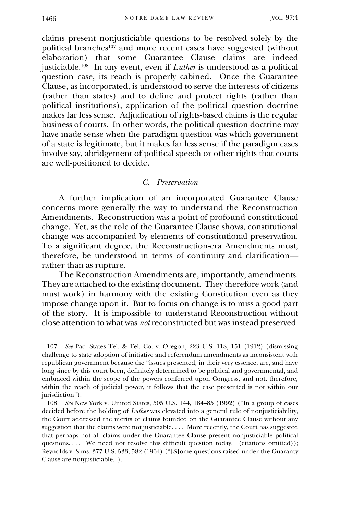claims present nonjusticiable questions to be resolved solely by the political branches<sup>107</sup> and more recent cases have suggested (without elaboration) that some Guarantee Clause claims are indeed justiciable.<sup>108</sup> In any event, even if *Luther* is understood as a political question case, its reach is properly cabined. Once the Guarantee Clause, as incorporated, is understood to serve the interests of citizens (rather than states) and to define and protect rights (rather than political institutions), application of the political question doctrine makes far less sense. Adjudication of rights-based claims is the regular business of courts. In other words, the political question doctrine may have made sense when the paradigm question was which government of a state is legitimate, but it makes far less sense if the paradigm cases involve say, abridgement of political speech or other rights that courts are well-positioned to decide.

#### *C. Preservation*

A further implication of an incorporated Guarantee Clause concerns more generally the way to understand the Reconstruction Amendments. Reconstruction was a point of profound constitutional change. Yet, as the role of the Guarantee Clause shows, constitutional change was accompanied by elements of constitutional preservation. To a significant degree, the Reconstruction-era Amendments must, therefore, be understood in terms of continuity and clarification rather than as rupture.

The Reconstruction Amendments are, importantly, amendments. They are attached to the existing document. They therefore work (and must work) in harmony with the existing Constitution even as they impose change upon it. But to focus on change is to miss a good part of the story. It is impossible to understand Reconstruction without close attention to what was *not* reconstructed but was instead preserved.

<sup>107</sup> *See* Pac. States Tel. & Tel. Co. v. Oregon, 223 U.S. 118, 151 (1912) (dismissing challenge to state adoption of initiative and referendum amendments as inconsistent with republican government because the "issues presented, in their very essence, are, and have long since by this court been, definitely determined to be political and governmental, and embraced within the scope of the powers conferred upon Congress, and not, therefore, within the reach of judicial power, it follows that the case presented is not within our jurisdiction").

<sup>108</sup> *See* New York v. United States, 505 U.S. 144, 184–85 (1992) ("In a group of cases decided before the holding of *Luther* was elevated into a general rule of nonjusticiability, the Court addressed the merits of claims founded on the Guarantee Clause without any suggestion that the claims were not justiciable. . . . More recently, the Court has suggested that perhaps not all claims under the Guarantee Clause present nonjusticiable political questions.... We need not resolve this difficult question today." (citations omitted)); Reynolds v. Sims, 377 U.S. 533, 582 (1964) ("[S]ome questions raised under the Guaranty Clause are nonjusticiable.").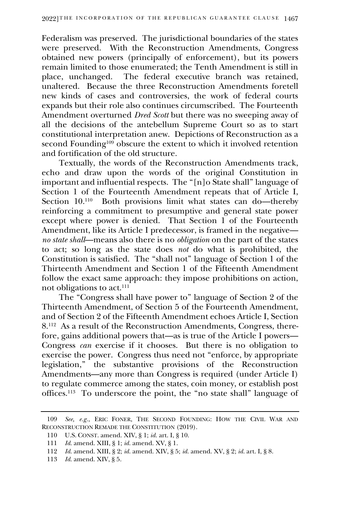Federalism was preserved. The jurisdictional boundaries of the states were preserved. With the Reconstruction Amendments, Congress obtained new powers (principally of enforcement), but its powers remain limited to those enumerated; the Tenth Amendment is still in The federal executive branch was retained, unaltered. Because the three Reconstruction Amendments foretell new kinds of cases and controversies, the work of federal courts expands but their role also continues circumscribed. The Fourteenth Amendment overturned *Dred Scott* but there was no sweeping away of all the decisions of the antebellum Supreme Court so as to start constitutional interpretation anew. Depictions of Reconstruction as a second Founding<sup>109</sup> obscure the extent to which it involved retention and fortification of the old structure.

Textually, the words of the Reconstruction Amendments track, echo and draw upon the words of the original Constitution in important and influential respects. The "[n]o State shall" language of Section 1 of the Fourteenth Amendment repeats that of Article I, Section 10.<sup>110</sup> Both provisions limit what states can do—thereby reinforcing a commitment to presumptive and general state power except where power is denied. That Section 1 of the Fourteenth Amendment, like its Article I predecessor, is framed in the negative *no state shall*—means also there is no *obligation* on the part of the states to act; so long as the state does *not* do what is prohibited, the Constitution is satisfied. The "shall not" language of Section 1 of the Thirteenth Amendment and Section 1 of the Fifteenth Amendment follow the exact same approach: they impose prohibitions on action, not obligations to act.<sup>111</sup>

The "Congress shall have power to" language of Section 2 of the Thirteenth Amendment, of Section 5 of the Fourteenth Amendment, and of Section 2 of the Fifteenth Amendment echoes Article I, Section 8. 112 As a result of the Reconstruction Amendments, Congress, therefore, gains additional powers that—as is true of the Article I powers— Congress *can* exercise if it chooses. But there is no obligation to exercise the power. Congress thus need not "enforce, by appropriate legislation," the substantive provisions of the Reconstruction Amendments—any more than Congress is required (under Article I) to regulate commerce among the states, coin money, or establish post offices.<sup>113</sup> To underscore the point, the "no state shall" language of

<sup>109</sup> *See, e.g.*, ERIC FONER, THE SECOND FOUNDING: HOW THE CIVIL WAR AND RECONSTRUCTION REMADE THE CONSTITUTION (2019).

<sup>110</sup> U.S. CONST. amend. XIV, § 1; *id.* art. I, § 10.

<sup>111</sup> *Id.* amend. XIII, § 1; *id.* amend. XV, § 1.

<sup>112</sup> *Id.* amend. XIII, § 2; *id.* amend. XIV, § 5; *id.* amend. XV, § 2; *id.* art. I, § 8.

<sup>113</sup> *Id.* amend. XIV, § 5.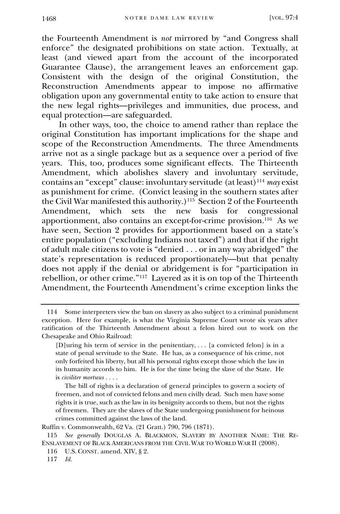the Fourteenth Amendment is *not* mirrored by "and Congress shall enforce" the designated prohibitions on state action. Textually, at least (and viewed apart from the account of the incorporated Guarantee Clause), the arrangement leaves an enforcement gap. Consistent with the design of the original Constitution, the Reconstruction Amendments appear to impose no affirmative obligation upon any governmental entity to take action to ensure that the new legal rights—privileges and immunities, due process, and equal protection—are safeguarded.

In other ways, too, the choice to amend rather than replace the original Constitution has important implications for the shape and scope of the Reconstruction Amendments. The three Amendments arrive not as a single package but as a sequence over a period of five years. This, too, produces some significant effects. The Thirteenth Amendment, which abolishes slavery and involuntary servitude, contains an "except" clause: involuntary servitude (at least)<sup>114</sup> *may* exist as punishment for crime. (Convict leasing in the southern states after the Civil War manifested this authority.)<sup>115</sup> Section 2 of the Fourteenth Amendment, which sets the new basis for congressional apportionment, also contains an except-for-crime provision.<sup>116</sup> As we have seen, Section 2 provides for apportionment based on a state's entire population ("excluding Indians not taxed") and that if the right of adult male citizens to vote is "denied . . . or in any way abridged" the state's representation is reduced proportionately—but that penalty does not apply if the denial or abridgement is for "participation in rebellion, or other crime."<sup>117</sup> Layered as it is on top of the Thirteenth Amendment, the Fourteenth Amendment's crime exception links the

The bill of rights is a declaration of general principles to govern a society of freemen, and not of convicted felons and men civilly dead. Such men have some rights it is true, such as the law in its benignity accords to them, but not the rights of freemen. They are the slaves of the State undergoing punishment for heinous crimes committed against the laws of the land.

Ruffin v. Commonwealth, 62 Va. (21 Gratt.) 790, 796 (1871).

115 *See generally* DOUGLAS A. BLACKMON, SLAVERY BY ANOTHER NAME: THE RE-ENSLAVEMENT OF BLACK AMERICANS FROM THE CIVIL WAR TO WORLD WAR II (2008).

<sup>114</sup> Some interpreters view the ban on slavery as also subject to a criminal punishment exception. Here for example, is what the Virginia Supreme Court wrote six years after ratification of the Thirteenth Amendment about a felon hired out to work on the Chesapeake and Ohio Railroad:

<sup>[</sup>D]uring his term of service in the penitentiary, . . . [a convicted felon] is in a state of penal servitude to the State. He has, as a consequence of his crime, not only forfeited his liberty, but all his personal rights except those which the law in its humanity accords to him. He is for the time being the slave of the State. He is *civiliter mortuus . . . .* 

<sup>116</sup> U.S. CONST. amend. XIV, § 2.

<sup>117</sup> *Id.*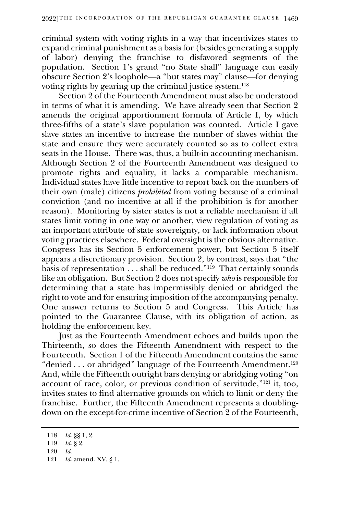criminal system with voting rights in a way that incentivizes states to expand criminal punishment as a basis for (besides generating a supply of labor) denying the franchise to disfavored segments of the population. Section 1's grand "no State shall" language can easily obscure Section 2's loophole—a "but states may" clause—for denying voting rights by gearing up the criminal justice system.<sup>118</sup>

Section 2 of the Fourteenth Amendment must also be understood in terms of what it is amending. We have already seen that Section 2 amends the original apportionment formula of Article I, by which three-fifths of a state's slave population was counted. Article I gave slave states an incentive to increase the number of slaves within the state and ensure they were accurately counted so as to collect extra seats in the House. There was, thus, a built-in accounting mechanism. Although Section 2 of the Fourteenth Amendment was designed to promote rights and equality, it lacks a comparable mechanism. Individual states have little incentive to report back on the numbers of their own (male) citizens *prohibited* from voting because of a criminal conviction (and no incentive at all if the prohibition is for another reason). Monitoring by sister states is not a reliable mechanism if all states limit voting in one way or another, view regulation of voting as an important attribute of state sovereignty, or lack information about voting practices elsewhere. Federal oversight is the obvious alternative. Congress has its Section 5 enforcement power, but Section 5 itself appears a discretionary provision. Section 2, by contrast, says that "the basis of representation . . . shall be reduced."<sup>119</sup> That certainly sounds like an obligation. But Section 2 does not specify *who* is responsible for determining that a state has impermissibly denied or abridged the right to vote and for ensuring imposition of the accompanying penalty. One answer returns to Section 5 and Congress. This Article has pointed to the Guarantee Clause, with its obligation of action, as holding the enforcement key.

Just as the Fourteenth Amendment echoes and builds upon the Thirteenth, so does the Fifteenth Amendment with respect to the Fourteenth. Section 1 of the Fifteenth Amendment contains the same "denied . . . or abridged" language of the Fourteenth Amendment.<sup>120</sup> And, while the Fifteenth outright bars denying or abridging voting "on account of race, color, or previous condition of servitude,"<sup>121</sup> it, too, invites states to find alternative grounds on which to limit or deny the franchise. Further, the Fifteenth Amendment represents a doublingdown on the except-for-crime incentive of Section 2 of the Fourteenth,

<sup>118</sup> *Id.* §§ 1, 2.

<sup>119</sup> *Id.* § 2.

<sup>120</sup> *Id.*

<sup>121</sup> *Id.* amend. XV, § 1.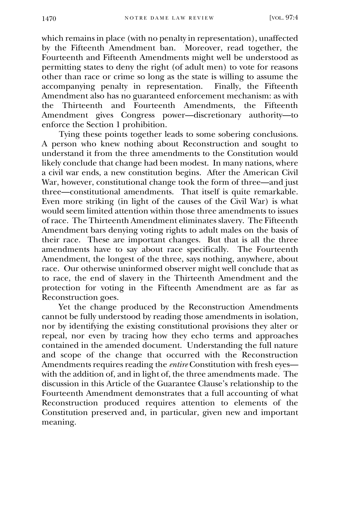which remains in place (with no penalty in representation), unaffected by the Fifteenth Amendment ban. Moreover, read together, the Fourteenth and Fifteenth Amendments might well be understood as permitting states to deny the right (of adult men) to vote for reasons other than race or crime so long as the state is willing to assume the accompanying penalty in representation. Finally, the Fifteenth Amendment also has no guaranteed enforcement mechanism: as with<br>the Thirteenth and Fourteenth Amendments, the Fifteenth the Thirteenth and Fourteenth Amendments, Amendment gives Congress power—discretionary authority—to enforce the Section 1 prohibition.

Tying these points together leads to some sobering conclusions. A person who knew nothing about Reconstruction and sought to understand it from the three amendments to the Constitution would likely conclude that change had been modest. In many nations, where a civil war ends, a new constitution begins. After the American Civil War, however, constitutional change took the form of three—and just three—constitutional amendments. That itself is quite remarkable. Even more striking (in light of the causes of the Civil War) is what would seem limited attention within those three amendments to issues of race. The Thirteenth Amendment eliminates slavery. The Fifteenth Amendment bars denying voting rights to adult males on the basis of their race. These are important changes. But that is all the three amendments have to say about race specifically. The Fourteenth Amendment, the longest of the three, says nothing, anywhere, about race. Our otherwise uninformed observer might well conclude that as to race, the end of slavery in the Thirteenth Amendment and the protection for voting in the Fifteenth Amendment are as far as Reconstruction goes.

Yet the change produced by the Reconstruction Amendments cannot be fully understood by reading those amendments in isolation, nor by identifying the existing constitutional provisions they alter or repeal, nor even by tracing how they echo terms and approaches contained in the amended document. Understanding the full nature and scope of the change that occurred with the Reconstruction Amendments requires reading the *entire* Constitution with fresh eyes with the addition of, and in light of, the three amendments made. The discussion in this Article of the Guarantee Clause's relationship to the Fourteenth Amendment demonstrates that a full accounting of what Reconstruction produced requires attention to elements of the Constitution preserved and, in particular, given new and important meaning.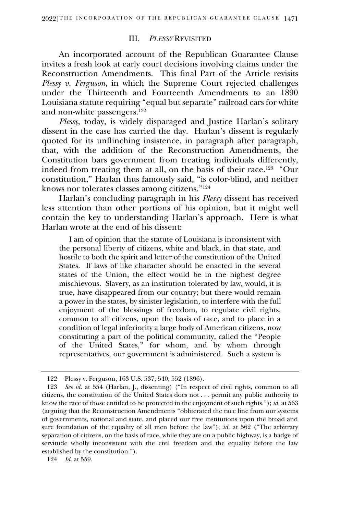#### III. *PLESSY* REVISITED

An incorporated account of the Republican Guarantee Clause invites a fresh look at early court decisions involving claims under the Reconstruction Amendments. This final Part of the Article revisits *Plessy v. Ferguson*, in which the Supreme Court rejected challenges under the Thirteenth and Fourteenth Amendments to an 1890 Louisiana statute requiring "equal but separate" railroad cars for white and non-white passengers.<sup>122</sup>

*Plessy*, today, is widely disparaged and Justice Harlan's solitary dissent in the case has carried the day. Harlan's dissent is regularly quoted for its unflinching insistence, in paragraph after paragraph, that, with the addition of the Reconstruction Amendments, the Constitution bars government from treating individuals differently, indeed from treating them at all, on the basis of their race.<sup>123</sup> "Our constitution," Harlan thus famously said, "is color-blind, and neither knows nor tolerates classes among citizens."<sup>124</sup>

Harlan's concluding paragraph in his *Plessy* dissent has received less attention than other portions of his opinion, but it might well contain the key to understanding Harlan's approach. Here is what Harlan wrote at the end of his dissent:

 I am of opinion that the statute of Louisiana is inconsistent with the personal liberty of citizens, white and black, in that state, and hostile to both the spirit and letter of the constitution of the United States. If laws of like character should be enacted in the several states of the Union, the effect would be in the highest degree mischievous. Slavery, as an institution tolerated by law, would, it is true, have disappeared from our country; but there would remain a power in the states, by sinister legislation, to interfere with the full enjoyment of the blessings of freedom, to regulate civil rights, common to all citizens, upon the basis of race, and to place in a condition of legal inferiority a large body of American citizens, now constituting a part of the political community, called the "People of the United States," for whom, and by whom through representatives, our government is administered. Such a system is

<sup>122</sup> Plessy v. Ferguson, 163 U.S. 537, 540, 552 (1896).

<sup>123</sup> *See id.* at 554 (Harlan, J., dissenting) ("In respect of civil rights, common to all citizens, the constitution of the United States does not . . . permit any public authority to know the race of those entitled to be protected in the enjoyment of such rights."); *id.* at 563 (arguing that the Reconstruction Amendments "obliterated the race line from our systems of governments, national and state, and placed our free institutions upon the broad and sure foundation of the equality of all men before the law"); *id.* at 562 ("The arbitrary separation of citizens, on the basis of race, while they are on a public highway, is a badge of servitude wholly inconsistent with the civil freedom and the equality before the law established by the constitution.").

<sup>124</sup> *Id.* at 559.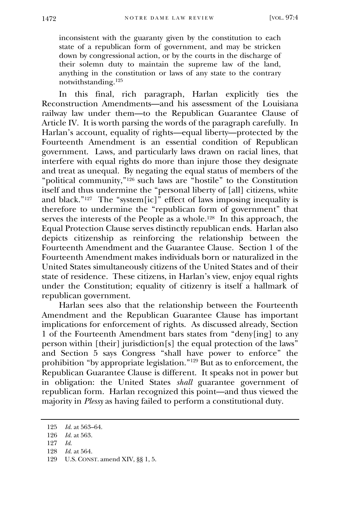inconsistent with the guaranty given by the constitution to each state of a republican form of government, and may be stricken down by congressional action, or by the courts in the discharge of their solemn duty to maintain the supreme law of the land, anything in the constitution or laws of any state to the contrary notwithstanding.<sup>125</sup>

In this final, rich paragraph, Harlan explicitly ties the Reconstruction Amendments—and his assessment of the Louisiana railway law under them—to the Republican Guarantee Clause of Article IV. It is worth parsing the words of the paragraph carefully. In Harlan's account, equality of rights—equal liberty—protected by the Fourteenth Amendment is an essential condition of Republican government. Laws, and particularly laws drawn on racial lines, that interfere with equal rights do more than injure those they designate and treat as unequal. By negating the equal status of members of the "political community,"<sup>126</sup> such laws are "hostile" to the Constitution itself and thus undermine the "personal liberty of [all] citizens, white and black."<sup>127</sup> The "system[ic]" effect of laws imposing inequality is therefore to undermine the "republican form of government" that serves the interests of the People as a whole.<sup>128</sup> In this approach, the Equal Protection Clause serves distinctly republican ends. Harlan also depicts citizenship as reinforcing the relationship between the Fourteenth Amendment and the Guarantee Clause. Section 1 of the Fourteenth Amendment makes individuals born or naturalized in the United States simultaneously citizens of the United States and of their state of residence. These citizens, in Harlan's view, enjoy equal rights under the Constitution; equality of citizenry is itself a hallmark of republican government.

Harlan sees also that the relationship between the Fourteenth Amendment and the Republican Guarantee Clause has important implications for enforcement of rights. As discussed already, Section 1 of the Fourteenth Amendment bars states from "deny[ing] to any person within [their] jurisdiction[s] the equal protection of the laws" and Section 5 says Congress "shall have power to enforce" the prohibition "by appropriate legislation."<sup>129</sup> But as to enforcement, the Republican Guarantee Clause is different. It speaks not in power but in obligation: the United States *shall* guarantee government of republican form. Harlan recognized this point—and thus viewed the majority in *Plessy* as having failed to perform a constitutional duty.

- 127 *Id.*
- *Id.* at 564.

<sup>125</sup> *Id.* at 563–64.

<sup>126</sup> *Id.* at 563.

<sup>129</sup> U.S. CONST. amend XIV, §§ 1, 5.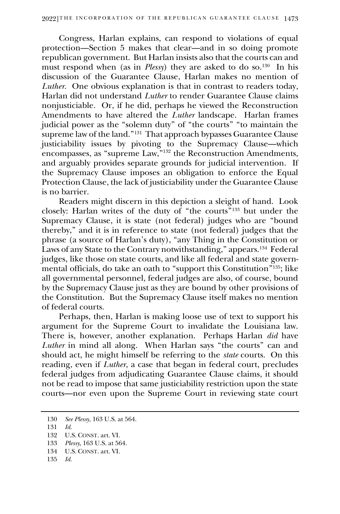Congress, Harlan explains, can respond to violations of equal protection—Section 5 makes that clear—and in so doing promote republican government. But Harlan insists also that the courts can and must respond when (as in *Plessy*) they are asked to do so.<sup>130</sup> In his discussion of the Guarantee Clause, Harlan makes no mention of *Luther*. One obvious explanation is that in contrast to readers today, Harlan did not understand *Luther* to render Guarantee Clause claims nonjusticiable. Or, if he did, perhaps he viewed the Reconstruction Amendments to have altered the *Luther* landscape. Harlan frames judicial power as the "solemn duty" of "the courts" "to maintain the supreme law of the land."<sup>131</sup> That approach bypasses Guarantee Clause justiciability issues by pivoting to the Supremacy Clause—which encompasses, as "supreme Law,"<sup>132</sup> the Reconstruction Amendments, and arguably provides separate grounds for judicial intervention. If the Supremacy Clause imposes an obligation to enforce the Equal Protection Clause, the lack of justiciability under the Guarantee Clause is no barrier.

Readers might discern in this depiction a sleight of hand. Look closely: Harlan writes of the duty of "the courts" <sup>133</sup> but under the Supremacy Clause, it is state (not federal) judges who are "bound thereby," and it is in reference to state (not federal) judges that the phrase (a source of Harlan's duty), "any Thing in the Constitution or Laws of any State to the Contrary notwithstanding," appears.<sup>134</sup> Federal judges, like those on state courts, and like all federal and state governmental officials, do take an oath to "support this Constitution" <sup>135</sup>; like all governmental personnel, federal judges are also, of course, bound by the Supremacy Clause just as they are bound by other provisions of the Constitution. But the Supremacy Clause itself makes no mention of federal courts.

Perhaps, then, Harlan is making loose use of text to support his argument for the Supreme Court to invalidate the Louisiana law. There is, however, another explanation. Perhaps Harlan *did* have *Luther* in mind all along. When Harlan says "the courts" can and should act, he might himself be referring to the *state* courts. On this reading, even if *Luther*, a case that began in federal court, precludes federal judges from adjudicating Guarantee Clause claims, it should not be read to impose that same justiciability restriction upon the state courts—nor even upon the Supreme Court in reviewing state court

- 134 U.S. CONST. art. VI.
- 135 *Id.*

<sup>130</sup> *See Plessy*, 163 U.S. at 564.

<sup>131</sup> *Id.*

<sup>132</sup> U.S. CONST. art. VI.

<sup>133</sup> *Plessy*, 163 U.S. at 564.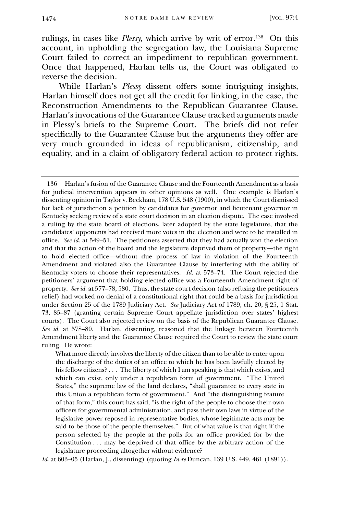rulings, in cases like *Plessy*, which arrive by writ of error.<sup>136</sup> On this account, in upholding the segregation law, the Louisiana Supreme Court failed to correct an impediment to republican government. Once that happened, Harlan tells us, the Court was obligated to reverse the decision.

While Harlan's *Plessy* dissent offers some intriguing insights, Harlan himself does not get all the credit for linking, in the case, the Reconstruction Amendments to the Republican Guarantee Clause. Harlan's invocations of the Guarantee Clause tracked arguments made in Plessy's briefs to the Supreme Court. The briefs did not refer specifically to the Guarantee Clause but the arguments they offer are very much grounded in ideas of republicanism, citizenship, and equality, and in a claim of obligatory federal action to protect rights.

What more directly involves the liberty of the citizen than to be able to enter upon the discharge of the duties of an office to which he has been lawfully elected by his fellow citizens? . . . The liberty of which I am speaking is that which exists, and which can exist, only under a republican form of government. "The United States," the supreme law of the land declares, "shall guarantee to every state in this Union a republican form of government." And "the distinguishing feature of that form," this court has said, "is the right of the people to choose their own officers for governmental administration, and pass their own laws in virtue of the legislative power reposed in representative bodies, whose legitimate acts may be said to be those of the people themselves." But of what value is that right if the person selected by the people at the polls for an office provided for by the Constitution . . . may be deprived of that office by the arbitrary action of the legislature proceeding altogether without evidence?

*Id.* at 603–05 (Harlan, J., dissenting) (quoting *In re* Duncan, 139 U.S. 449, 461 (1891)).

<sup>136</sup> Harlan's fusion of the Guarantee Clause and the Fourteenth Amendment as a basis for judicial intervention appears in other opinions as well. One example is Harlan's dissenting opinion in Taylor v. Beckham, 178 U.S. 548 (1900), in which the Court dismissed for lack of jurisdiction a petition by candidates for governor and lieutenant governor in Kentucky seeking review of a state court decision in an election dispute. The case involved a ruling by the state board of elections, later adopted by the state legislature, that the candidates' opponents had received more votes in the election and were to be installed in office. *See id.* at 549–51. The petitioners asserted that they had actually won the election and that the action of the board and the legislature deprived them of property—the right to hold elected office—without due process of law in violation of the Fourteenth Amendment and violated also the Guarantee Clause by interfering with the ability of Kentucky voters to choose their representatives. *Id.* at 573–74. The Court rejected the petitioners' argument that holding elected office was a Fourteenth Amendment right of property. *See id.* at 577–78, 580. Thus, the state court decision (also refusing the petitioners relief) had worked no denial of a constitutional right that could be a basis for jurisdiction under Section 25 of the 1789 Judiciary Act. *See* Judiciary Act of 1789, ch. 20, § 25, 1 Stat. 73, 85–87 (granting certain Supreme Court appellate jurisdiction over states' highest courts). The Court also rejected review on the basis of the Republican Guarantee Clause. *See id.* at 578–80. Harlan, dissenting, reasoned that the linkage between Fourteenth Amendment liberty and the Guarantee Clause required the Court to review the state court ruling. He wrote: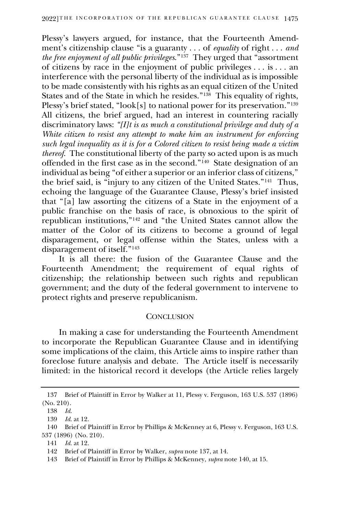Plessy's lawyers argued, for instance, that the Fourteenth Amendment's citizenship clause "is a guaranty . . . of *equality* of right . . . *and the free enjoyment of all public privileges*."<sup>137</sup> They urged that "assortment of citizens by race in the enjoyment of public privileges . . . is . . . an interference with the personal liberty of the individual as is impossible to be made consistently with his rights as an equal citizen of the United States and of the State in which he resides."<sup>138</sup> This equality of rights, Plessy's brief stated, "look[s] to national power for its preservation."<sup>139</sup> All citizens, the brief argued, had an interest in countering racially discriminatory laws: *"[I]t is as much a constitutional privilege and duty of a White citizen to resist any attempt to make him an instrument for enforcing such legal inequality as it is for a Colored citizen to resist being made a victim thereof*. The constitutional liberty of the party so acted upon is as much offended in the first case as in the second."<sup>140</sup> State designation of an individual as being "of either a superior or an inferior class of citizens," the brief said, is "injury to any citizen of the United States."<sup>141</sup> Thus, echoing the language of the Guarantee Clause, Plessy's brief insisted that "[a] law assorting the citizens of a State in the enjoyment of a public franchise on the basis of race, is obnoxious to the spirit of republican institutions,"<sup>142</sup> and "the United States cannot allow the matter of the Color of its citizens to become a ground of legal disparagement, or legal offense within the States, unless with a disparagement of itself."<sup>143</sup>

It is all there: the fusion of the Guarantee Clause and the Fourteenth Amendment; the requirement of equal rights of citizenship; the relationship between such rights and republican government; and the duty of the federal government to intervene to protect rights and preserve republicanism.

#### **CONCLUSION**

In making a case for understanding the Fourteenth Amendment to incorporate the Republican Guarantee Clause and in identifying some implications of the claim, this Article aims to inspire rather than foreclose future analysis and debate. The Article itself is necessarily limited: in the historical record it develops (the Article relies largely

<sup>137</sup> Brief of Plaintiff in Error by Walker at 11, Plessy v. Ferguson, 163 U.S. 537 (1896) (No. 210).

<sup>138</sup> *Id.* 

<sup>139</sup> *Id.* at 12.

<sup>140</sup> Brief of Plaintiff in Error by Phillips & McKenney at 6, Plessy v. Ferguson, 163 U.S. 537 (1896) (No. 210).

<sup>141</sup> *Id.* at 12.

<sup>142</sup> Brief of Plaintiff in Error by Walker, *supra* note 137, at 14.

<sup>143</sup> Brief of Plaintiff in Error by Phillips & McKenney, *supra* note 140, at 15.